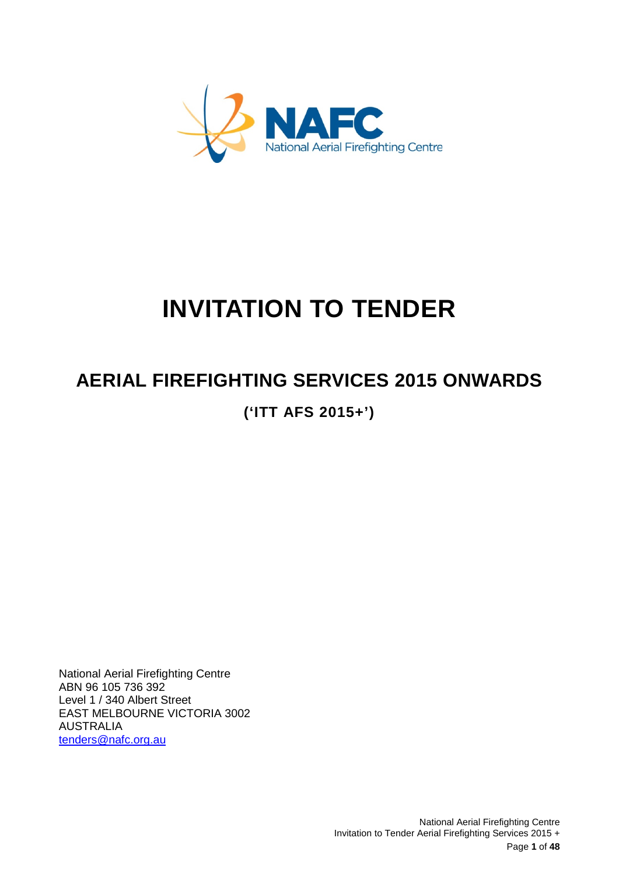

# **INVITATION TO TENDER**

# **AERIAL FIREFIGHTING SERVICES 2015 ONWARDS**

**('ITT AFS 2015+')**

National Aerial Firefighting Centre ABN 96 105 736 392 Level 1 / 340 Albert Street EAST MELBOURNE VICTORIA 3002 AUSTRALIA [tenders@nafc.org.au](mailto:tenders@nafc.org.au)

> National Aerial Firefighting Centre Invitation to Tender Aerial Firefighting Services 2015 + Page **1** of **48**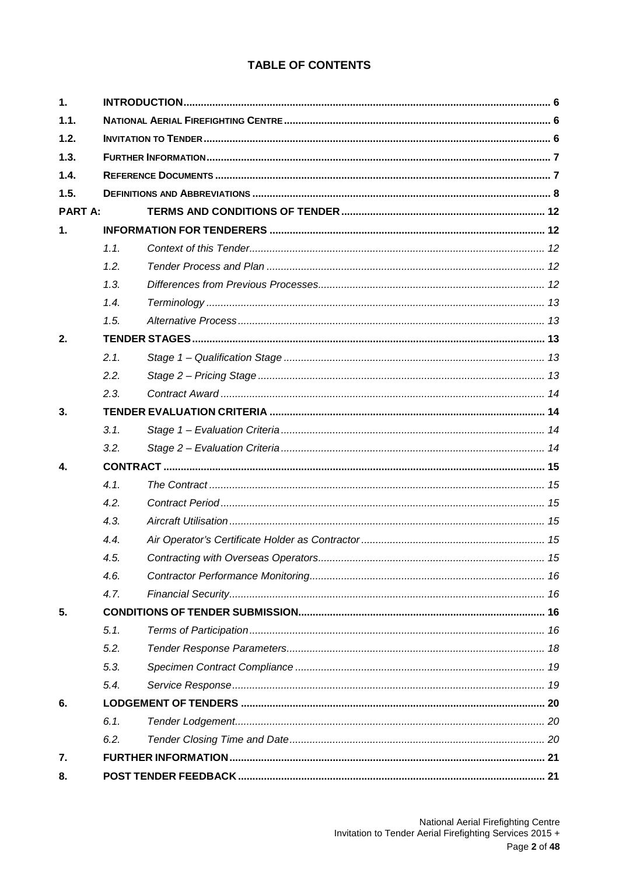# **TABLE OF CONTENTS**

| 1.             |      |  |  |
|----------------|------|--|--|
| 1.1.           |      |  |  |
| 1.2.           |      |  |  |
| 1.3.           |      |  |  |
| 1.4.           |      |  |  |
| 1.5.           |      |  |  |
| <b>PART A:</b> |      |  |  |
| 1.             |      |  |  |
|                | 1.1. |  |  |
|                | 1.2. |  |  |
|                | 1.3. |  |  |
|                | 1.4. |  |  |
|                | 1.5. |  |  |
| 2.             |      |  |  |
|                | 2.1. |  |  |
|                | 2.2. |  |  |
|                | 2.3. |  |  |
| 3.             |      |  |  |
|                | 3.1. |  |  |
|                | 3.2. |  |  |
| 4.             |      |  |  |
|                | 4.1. |  |  |
|                | 4.2. |  |  |
|                | 4.3. |  |  |
|                | 4.4. |  |  |
|                | 4.5. |  |  |
|                | 4.6. |  |  |
|                | 4.7. |  |  |
| 5.             |      |  |  |
|                | 5.1. |  |  |
|                | 5.2. |  |  |
|                | 5.3. |  |  |
|                | 5.4. |  |  |
| 6.             |      |  |  |
|                | 6.1. |  |  |
|                | 6.2. |  |  |
| 7.             |      |  |  |
| 8.             |      |  |  |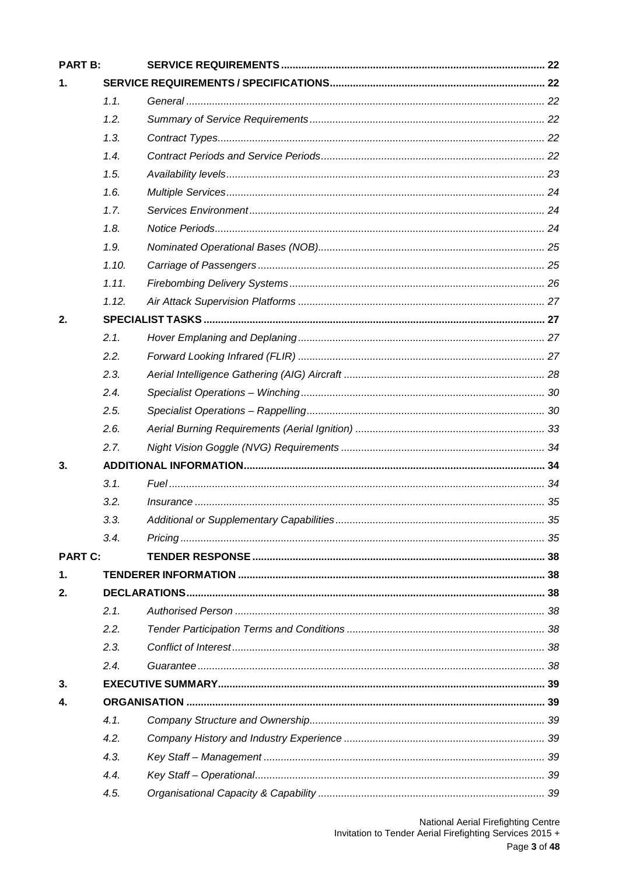| <b>PART B:</b> |       |  |  |
|----------------|-------|--|--|
| 1.             |       |  |  |
|                | 1.1.  |  |  |
|                | 1.2.  |  |  |
|                | 1.3.  |  |  |
|                | 1.4.  |  |  |
|                | 1.5.  |  |  |
|                | 1.6.  |  |  |
|                | 1.7.  |  |  |
|                | 1.8.  |  |  |
|                | 1.9.  |  |  |
|                | 1.10. |  |  |
|                | 1.11. |  |  |
|                | 1.12. |  |  |
| 2.             |       |  |  |
|                | 2.1.  |  |  |
|                | 2.2.  |  |  |
|                | 2.3.  |  |  |
|                | 2.4.  |  |  |
|                | 2.5.  |  |  |
|                | 2.6.  |  |  |
|                | 2.7.  |  |  |
| 3.             |       |  |  |
|                | 3.1.  |  |  |
|                | 3.2.  |  |  |
|                | 3.3.  |  |  |
|                | 3.4.  |  |  |
| <b>PART C:</b> |       |  |  |
| $\mathbf 1$ .  |       |  |  |
| 2.             |       |  |  |
|                | 2.1.  |  |  |
|                | 2.2.  |  |  |
|                | 2.3.  |  |  |
|                | 2.4.  |  |  |
| 3.             |       |  |  |
| 4.             |       |  |  |
|                | 4.1.  |  |  |
|                | 4.2.  |  |  |
|                | 4.3.  |  |  |
|                | 4.4.  |  |  |
|                | 4.5.  |  |  |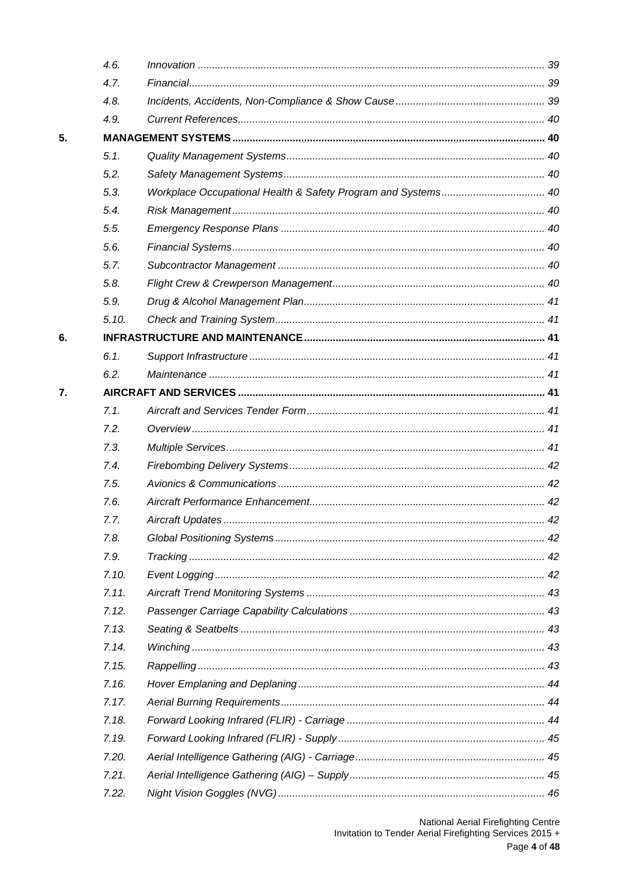|    | 4.6.  |  |
|----|-------|--|
|    | 4.7.  |  |
|    | 4.8.  |  |
|    | 4.9.  |  |
| 5. |       |  |
|    | 5.1.  |  |
|    | 5.2.  |  |
|    | 5.3.  |  |
|    | 5.4.  |  |
|    | 5.5.  |  |
|    | 5.6.  |  |
|    | 5.7.  |  |
|    | 5.8.  |  |
|    | 5.9.  |  |
|    | 5.10. |  |
| 6. |       |  |
|    | 6.1.  |  |
|    | 6.2.  |  |
| 7. |       |  |
|    | 7.1.  |  |
|    | 7.2.  |  |
|    | 7.3.  |  |
|    | 7.4.  |  |
|    | 7.5.  |  |
|    | 7.6.  |  |
|    | 7.7.  |  |
|    | 7.8.  |  |
|    | 7.9.  |  |
|    | 7.10. |  |
|    | 7.11. |  |
|    | 7.12. |  |
|    | 7.13. |  |
|    | 7.14. |  |
|    | 7.15. |  |
|    | 7.16. |  |
|    | 7.17. |  |
|    | 7.18. |  |
|    | 7.19. |  |
|    | 7.20. |  |
|    | 7.21. |  |
|    | 7.22. |  |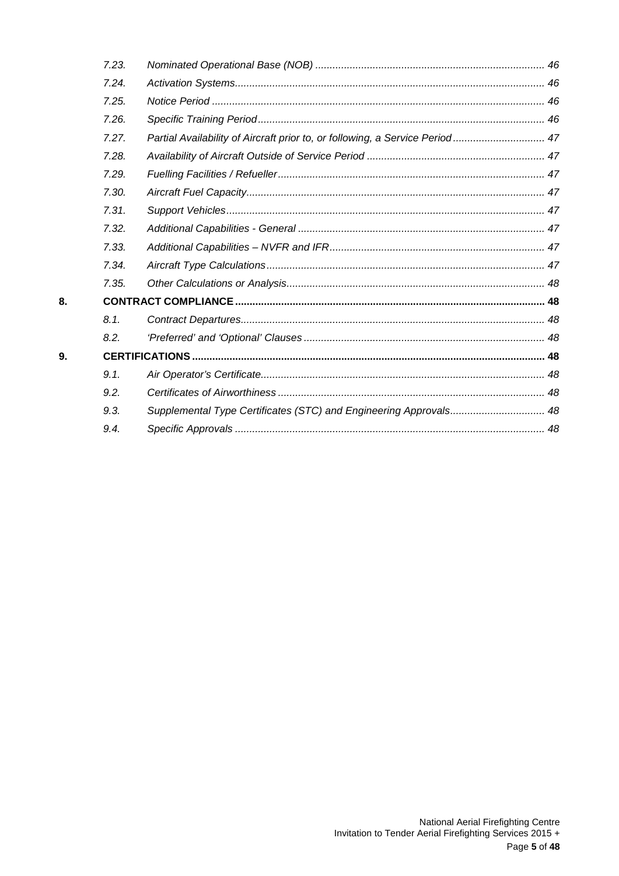| 7.23. |                                                                              |  |
|-------|------------------------------------------------------------------------------|--|
| 7.24. |                                                                              |  |
| 7.25. |                                                                              |  |
| 7.26. |                                                                              |  |
| 7.27. | Partial Availability of Aircraft prior to, or following, a Service Period 47 |  |
| 7.28. |                                                                              |  |
| 7.29. |                                                                              |  |
| 7.30. |                                                                              |  |
| 7.31. |                                                                              |  |
| 7.32. |                                                                              |  |
| 7.33. |                                                                              |  |
| 7.34. |                                                                              |  |
| 7.35. |                                                                              |  |
|       |                                                                              |  |
| 8.1.  |                                                                              |  |
| 8.2.  |                                                                              |  |
|       |                                                                              |  |
| 9.1.  |                                                                              |  |
| 9.2.  |                                                                              |  |
| 9.3.  | Supplemental Type Certificates (STC) and Engineering Approvals 48            |  |
| 9.4.  |                                                                              |  |
|       |                                                                              |  |

8.

9.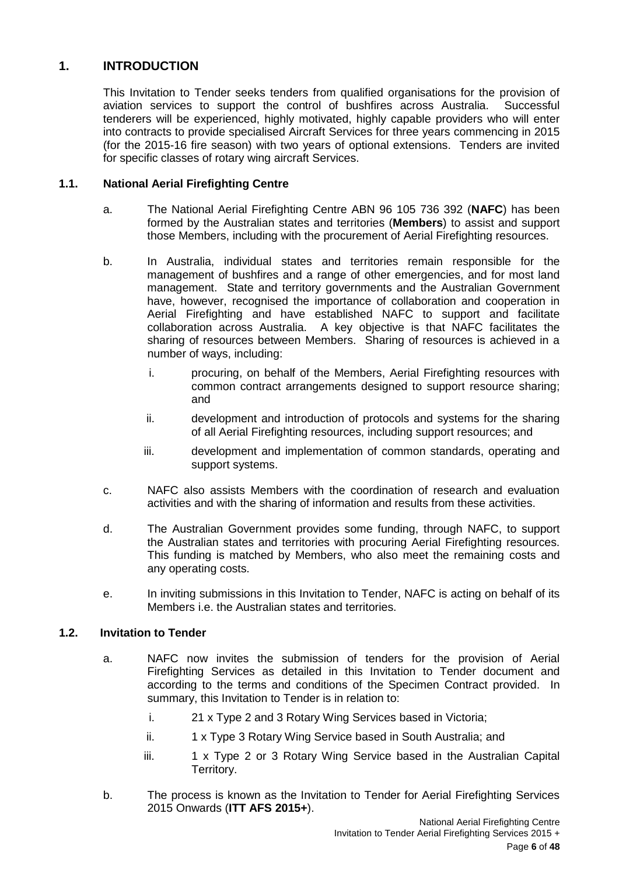# <span id="page-5-0"></span>**1. INTRODUCTION**

This Invitation to Tender seeks tenders from qualified organisations for the provision of aviation services to support the control of bushfires across Australia. Successful tenderers will be experienced, highly motivated, highly capable providers who will enter into contracts to provide specialised Aircraft Services for three years commencing in 2015 (for the 2015-16 fire season) with two years of optional extensions. Tenders are invited for specific classes of rotary wing aircraft Services.

# <span id="page-5-1"></span>**1.1. National Aerial Firefighting Centre**

- a. The National Aerial Firefighting Centre ABN 96 105 736 392 (**NAFC**) has been formed by the Australian states and territories (**Members**) to assist and support those Members, including with the procurement of Aerial Firefighting resources.
- b. In Australia, individual states and territories remain responsible for the management of bushfires and a range of other emergencies, and for most land management. State and territory governments and the Australian Government have, however, recognised the importance of collaboration and cooperation in Aerial Firefighting and have established NAFC to support and facilitate collaboration across Australia. A key objective is that NAFC facilitates the sharing of resources between Members. Sharing of resources is achieved in a number of ways, including:
	- i. procuring, on behalf of the Members, Aerial Firefighting resources with common contract arrangements designed to support resource sharing; and
	- ii. development and introduction of protocols and systems for the sharing of all Aerial Firefighting resources, including support resources; and
	- iii. development and implementation of common standards, operating and support systems.
- c. NAFC also assists Members with the coordination of research and evaluation activities and with the sharing of information and results from these activities.
- d. The Australian Government provides some funding, through NAFC, to support the Australian states and territories with procuring Aerial Firefighting resources. This funding is matched by Members, who also meet the remaining costs and any operating costs.
- e. In inviting submissions in this Invitation to Tender, NAFC is acting on behalf of its Members i.e. the Australian states and territories.

# <span id="page-5-2"></span>**1.2. Invitation to Tender**

- a. NAFC now invites the submission of tenders for the provision of Aerial Firefighting Services as detailed in this Invitation to Tender document and according to the terms and conditions of the Specimen Contract provided. In summary, this Invitation to Tender is in relation to:
	- i. 21 x Type 2 and 3 Rotary Wing Services based in Victoria;
	- ii. 1 x Type 3 Rotary Wing Service based in South Australia; and
	- iii. 1 x Type 2 or 3 Rotary Wing Service based in the Australian Capital Territory.
- b. The process is known as the Invitation to Tender for Aerial Firefighting Services 2015 Onwards (**ITT AFS 2015+**).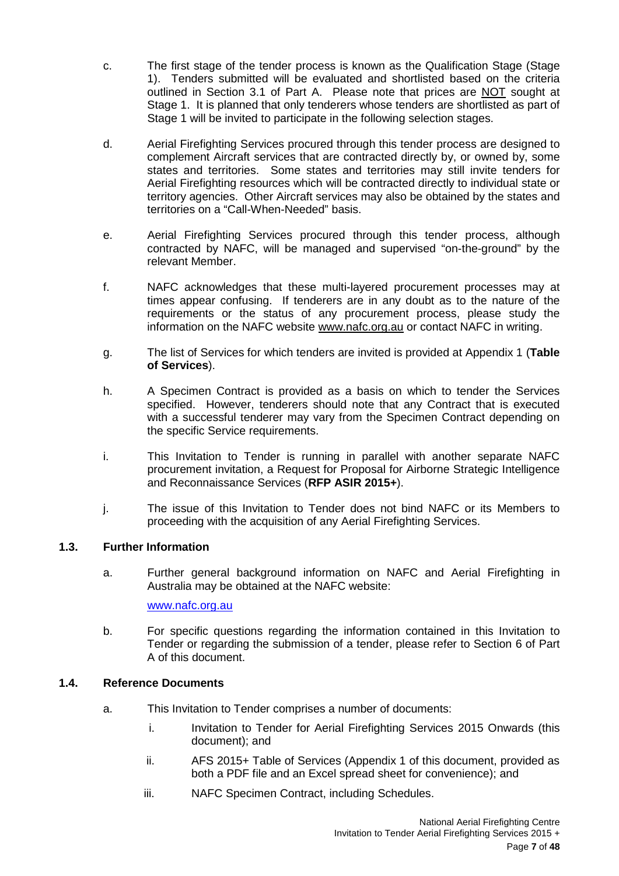- c. The first stage of the tender process is known as the Qualification Stage (Stage 1). Tenders submitted will be evaluated and shortlisted based on the criteria outlined in Section 3.1 of Part A. Please note that prices are NOT sought at Stage 1. It is planned that only tenderers whose tenders are shortlisted as part of Stage 1 will be invited to participate in the following selection stages.
- d. Aerial Firefighting Services procured through this tender process are designed to complement Aircraft services that are contracted directly by, or owned by, some states and territories. Some states and territories may still invite tenders for Aerial Firefighting resources which will be contracted directly to individual state or territory agencies. Other Aircraft services may also be obtained by the states and territories on a "Call-When-Needed" basis.
- e. Aerial Firefighting Services procured through this tender process, although contracted by NAFC, will be managed and supervised "on-the-ground" by the relevant Member.
- f. NAFC acknowledges that these multi-layered procurement processes may at times appear confusing. If tenderers are in any doubt as to the nature of the requirements or the status of any procurement process, please study the information on the NAFC website www.nafc.org.au or contact NAFC in writing.
- g. The list of Services for which tenders are invited is provided at Appendix 1 (**Table of Services**).
- h. A Specimen Contract is provided as a basis on which to tender the Services specified. However, tenderers should note that any Contract that is executed with a successful tenderer may vary from the Specimen Contract depending on the specific Service requirements.
- i. This Invitation to Tender is running in parallel with another separate NAFC procurement invitation, a Request for Proposal for Airborne Strategic Intelligence and Reconnaissance Services (**RFP ASIR 2015+**).
- j. The issue of this Invitation to Tender does not bind NAFC or its Members to proceeding with the acquisition of any Aerial Firefighting Services.

# <span id="page-6-0"></span>**1.3. Further Information**

a. Further general background information on NAFC and Aerial Firefighting in Australia may be obtained at the NAFC website:

[www.nafc.org.au](http://www.nafc.org.au/)

b. For specific questions regarding the information contained in this Invitation to Tender or regarding the submission of a tender, please refer to Section 6 of Part A of this document.

# <span id="page-6-1"></span>**1.4. Reference Documents**

- a. This Invitation to Tender comprises a number of documents:
	- i. Invitation to Tender for Aerial Firefighting Services 2015 Onwards (this document); and
	- ii. AFS 2015+ Table of Services (Appendix 1 of this document, provided as both a PDF file and an Excel spread sheet for convenience); and
	- iii. NAFC Specimen Contract, including Schedules.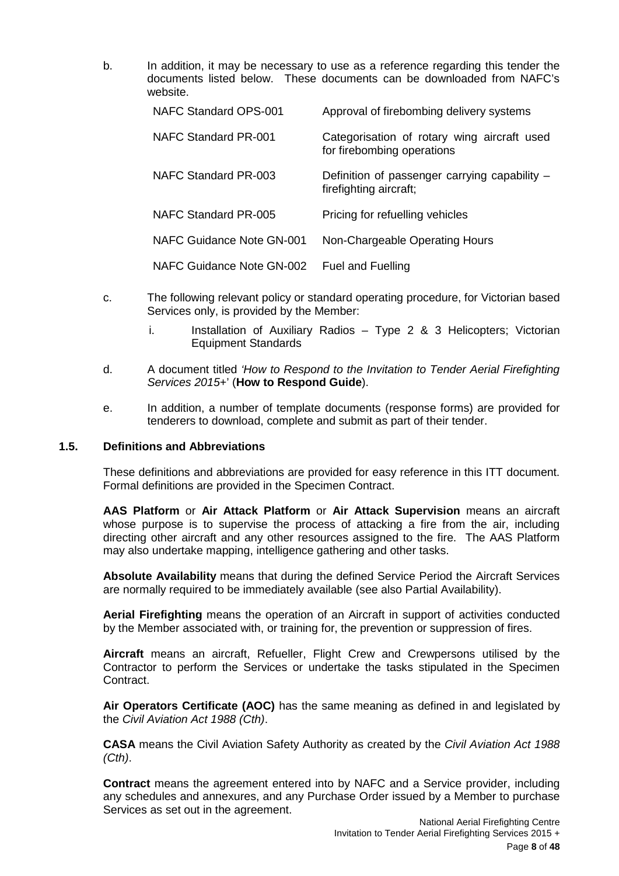b. In addition, it may be necessary to use as a reference regarding this tender the documents listed below. These documents can be downloaded from NAFC's website.

| NAFC Standard OPS-001     | Approval of firebombing delivery systems                                  |
|---------------------------|---------------------------------------------------------------------------|
| NAFC Standard PR-001      | Categorisation of rotary wing aircraft used<br>for firebombing operations |
| NAFC Standard PR-003      | Definition of passenger carrying capability -<br>firefighting aircraft;   |
| NAFC Standard PR-005      | Pricing for refuelling vehicles                                           |
| NAFC Guidance Note GN-001 | Non-Chargeable Operating Hours                                            |
| NAFC Guidance Note GN-002 | <b>Fuel and Fuelling</b>                                                  |

- c. The following relevant policy or standard operating procedure, for Victorian based Services only, is provided by the Member:
	- i. Installation of Auxiliary Radios Type 2 & 3 Helicopters; Victorian Equipment Standards
- d. A document titled *'How to Respond to the Invitation to Tender Aerial Firefighting Services 2015+*' (**How to Respond Guide**).
- e. In addition, a number of template documents (response forms) are provided for tenderers to download, complete and submit as part of their tender.

# <span id="page-7-0"></span>**1.5. Definitions and Abbreviations**

These definitions and abbreviations are provided for easy reference in this ITT document. Formal definitions are provided in the Specimen Contract.

**AAS Platform** or **Air Attack Platform** or **Air Attack Supervision** means an aircraft whose purpose is to supervise the process of attacking a fire from the air, including directing other aircraft and any other resources assigned to the fire. The AAS Platform may also undertake mapping, intelligence gathering and other tasks.

**Absolute Availability** means that during the defined Service Period the Aircraft Services are normally required to be immediately available (see also Partial Availability).

**Aerial Firefighting** means the operation of an Aircraft in support of activities conducted by the Member associated with, or training for, the prevention or suppression of fires.

**Aircraft** means an aircraft, Refueller, Flight Crew and Crewpersons utilised by the Contractor to perform the Services or undertake the tasks stipulated in the Specimen Contract.

**Air Operators Certificate (AOC)** has the same meaning as defined in and legislated by the *Civil Aviation Act 1988 (Cth)*.

**CASA** means the Civil Aviation Safety Authority as created by the *Civil Aviation Act 1988 (Cth)*.

**Contract** means the agreement entered into by NAFC and a Service provider, including any schedules and annexures, and any Purchase Order issued by a Member to purchase Services as set out in the agreement.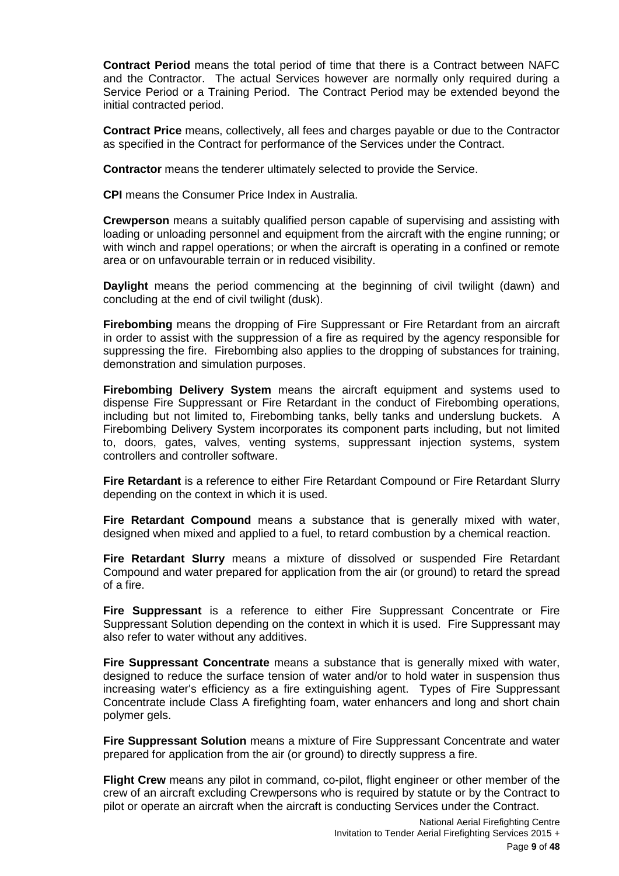**Contract Period** means the total period of time that there is a Contract between NAFC and the Contractor. The actual Services however are normally only required during a Service Period or a Training Period. The Contract Period may be extended beyond the initial contracted period.

**Contract Price** means, collectively, all fees and charges payable or due to the Contractor as specified in the Contract for performance of the Services under the Contract.

**Contractor** means the tenderer ultimately selected to provide the Service.

**CPI** means the Consumer Price Index in Australia.

**Crewperson** means a suitably qualified person capable of supervising and assisting with loading or unloading personnel and equipment from the aircraft with the engine running; or with winch and rappel operations; or when the aircraft is operating in a confined or remote area or on unfavourable terrain or in reduced visibility.

**Daylight** means the period commencing at the beginning of civil twilight (dawn) and concluding at the end of civil twilight (dusk).

**Firebombing** means the dropping of Fire Suppressant or Fire Retardant from an aircraft in order to assist with the suppression of a fire as required by the agency responsible for suppressing the fire. Firebombing also applies to the dropping of substances for training, demonstration and simulation purposes.

**Firebombing Delivery System** means the aircraft equipment and systems used to dispense Fire Suppressant or Fire Retardant in the conduct of Firebombing operations, including but not limited to, Firebombing tanks, belly tanks and underslung buckets. A Firebombing Delivery System incorporates its component parts including, but not limited to, doors, gates, valves, venting systems, suppressant injection systems, system controllers and controller software.

**Fire Retardant** is a reference to either Fire Retardant Compound or Fire Retardant Slurry depending on the context in which it is used.

**Fire Retardant Compound** means a substance that is generally mixed with water, designed when mixed and applied to a fuel, to retard combustion by a chemical reaction.

**Fire Retardant Slurry** means a mixture of dissolved or suspended Fire Retardant Compound and water prepared for application from the air (or ground) to retard the spread of a fire.

**Fire Suppressant** is a reference to either Fire Suppressant Concentrate or Fire Suppressant Solution depending on the context in which it is used. Fire Suppressant may also refer to water without any additives.

**Fire Suppressant Concentrate** means a substance that is generally mixed with water, designed to reduce the surface tension of water and/or to hold water in suspension thus increasing water's efficiency as a fire extinguishing agent. Types of Fire Suppressant Concentrate include Class A firefighting foam, water enhancers and long and short chain polymer gels.

**Fire Suppressant Solution** means a mixture of Fire Suppressant Concentrate and water prepared for application from the air (or ground) to directly suppress a fire.

**Flight Crew** means any pilot in command, co-pilot, flight engineer or other member of the crew of an aircraft excluding Crewpersons who is required by statute or by the Contract to pilot or operate an aircraft when the aircraft is conducting Services under the Contract.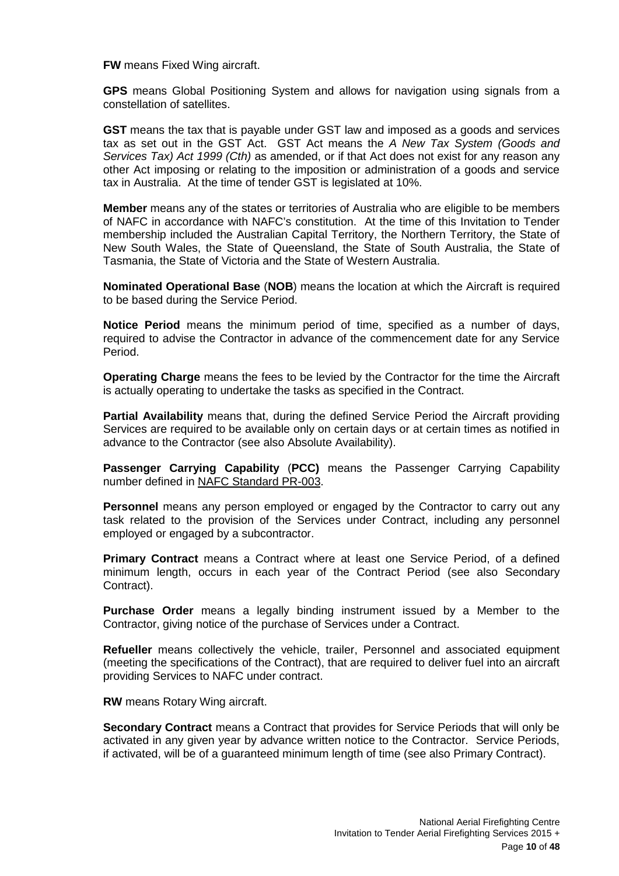**FW** means Fixed Wing aircraft.

**GPS** means Global Positioning System and allows for navigation using signals from a constellation of satellites.

**GST** means the tax that is payable under GST law and imposed as a goods and services tax as set out in the GST Act. GST Act means the *A New Tax System (Goods and Services Tax) Act 1999 (Cth)* as amended, or if that Act does not exist for any reason any other Act imposing or relating to the imposition or administration of a goods and service tax in Australia. At the time of tender GST is legislated at 10%.

**Member** means any of the states or territories of Australia who are eligible to be members of NAFC in accordance with NAFC's constitution. At the time of this Invitation to Tender membership included the Australian Capital Territory, the Northern Territory, the State of New South Wales, the State of Queensland, the State of South Australia, the State of Tasmania, the State of Victoria and the State of Western Australia.

**Nominated Operational Base** (**NOB**) means the location at which the Aircraft is required to be based during the Service Period.

**Notice Period** means the minimum period of time, specified as a number of days, required to advise the Contractor in advance of the commencement date for any Service Period.

**Operating Charge** means the fees to be levied by the Contractor for the time the Aircraft is actually operating to undertake the tasks as specified in the Contract.

**Partial Availability** means that, during the defined Service Period the Aircraft providing Services are required to be available only on certain days or at certain times as notified in advance to the Contractor (see also Absolute Availability).

**Passenger Carrying Capability** (**PCC)** means the Passenger Carrying Capability number defined in NAFC Standard PR-003.

**Personnel** means any person employed or engaged by the Contractor to carry out any task related to the provision of the Services under Contract, including any personnel employed or engaged by a subcontractor.

**Primary Contract** means a Contract where at least one Service Period, of a defined minimum length, occurs in each year of the Contract Period (see also Secondary Contract).

**Purchase Order** means a legally binding instrument issued by a Member to the Contractor, giving notice of the purchase of Services under a Contract.

**Refueller** means collectively the vehicle, trailer, Personnel and associated equipment (meeting the specifications of the Contract), that are required to deliver fuel into an aircraft providing Services to NAFC under contract.

**RW** means Rotary Wing aircraft.

**Secondary Contract** means a Contract that provides for Service Periods that will only be activated in any given year by advance written notice to the Contractor. Service Periods, if activated, will be of a guaranteed minimum length of time (see also Primary Contract).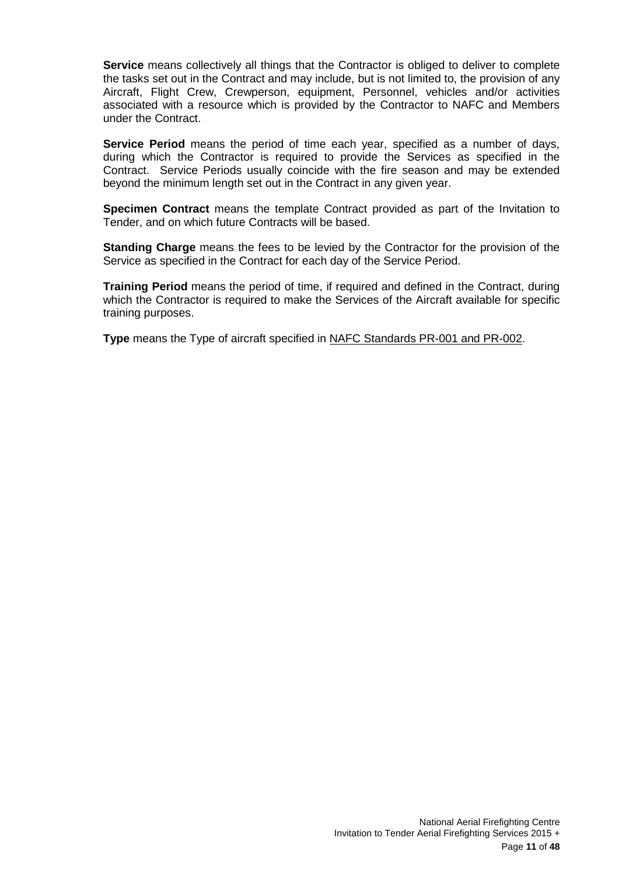**Service** means collectively all things that the Contractor is obliged to deliver to complete the tasks set out in the Contract and may include, but is not limited to, the provision of any Aircraft, Flight Crew, Crewperson, equipment, Personnel, vehicles and/or activities associated with a resource which is provided by the Contractor to NAFC and Members under the Contract.

**Service Period** means the period of time each year, specified as a number of days, during which the Contractor is required to provide the Services as specified in the Contract. Service Periods usually coincide with the fire season and may be extended beyond the minimum length set out in the Contract in any given year.

**Specimen Contract** means the template Contract provided as part of the Invitation to Tender, and on which future Contracts will be based.

**Standing Charge** means the fees to be levied by the Contractor for the provision of the Service as specified in the Contract for each day of the Service Period.

**Training Period** means the period of time, if required and defined in the Contract, during which the Contractor is required to make the Services of the Aircraft available for specific training purposes.

**Type** means the Type of aircraft specified in NAFC Standards PR-001 and PR-002.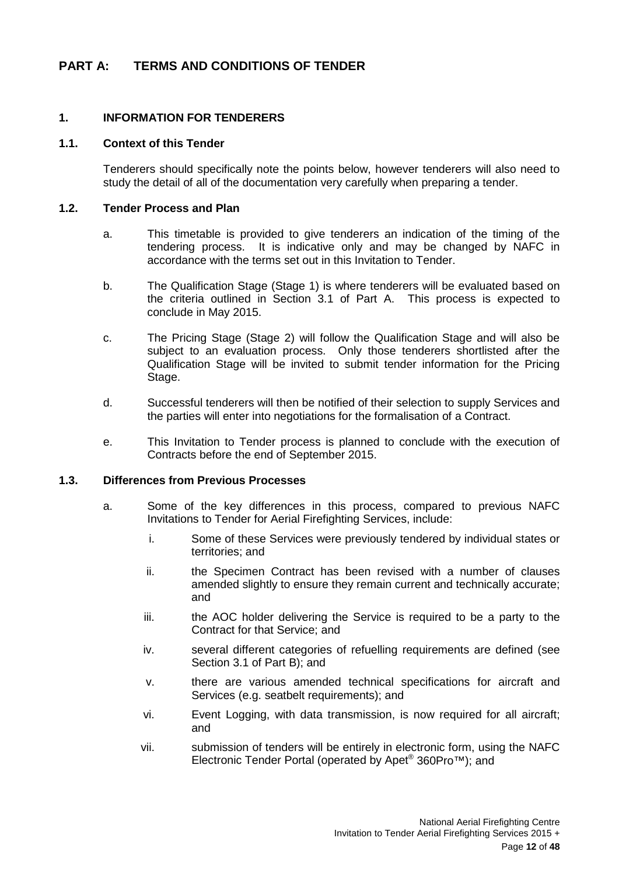# <span id="page-11-0"></span>**PART A: TERMS AND CONDITIONS OF TENDER**

# <span id="page-11-1"></span>**1. INFORMATION FOR TENDERERS**

# <span id="page-11-2"></span>**1.1. Context of this Tender**

Tenderers should specifically note the points below, however tenderers will also need to study the detail of all of the documentation very carefully when preparing a tender.

#### <span id="page-11-3"></span>**1.2. Tender Process and Plan**

- a. This timetable is provided to give tenderers an indication of the timing of the tendering process. It is indicative only and may be changed by NAFC in accordance with the terms set out in this Invitation to Tender.
- b. The Qualification Stage (Stage 1) is where tenderers will be evaluated based on the criteria outlined in Section 3.1 of Part A. This process is expected to conclude in May 2015.
- c. The Pricing Stage (Stage 2) will follow the Qualification Stage and will also be subject to an evaluation process. Only those tenderers shortlisted after the Qualification Stage will be invited to submit tender information for the Pricing Stage.
- d. Successful tenderers will then be notified of their selection to supply Services and the parties will enter into negotiations for the formalisation of a Contract.
- e. This Invitation to Tender process is planned to conclude with the execution of Contracts before the end of September 2015.

#### <span id="page-11-4"></span>**1.3. Differences from Previous Processes**

- a. Some of the key differences in this process, compared to previous NAFC Invitations to Tender for Aerial Firefighting Services, include:
	- i. Some of these Services were previously tendered by individual states or territories; and
	- ii. the Specimen Contract has been revised with a number of clauses amended slightly to ensure they remain current and technically accurate; and
	- iii. the AOC holder delivering the Service is required to be a party to the Contract for that Service; and
	- iv. several different categories of refuelling requirements are defined (see Section 3.1 of Part B); and
	- v. there are various amended technical specifications for aircraft and Services (e.g. seatbelt requirements); and
	- vi. Event Logging, with data transmission, is now required for all aircraft; and
	- vii. submission of tenders will be entirely in electronic form, using the NAFC Electronic Tender Portal (operated by Apet® 360Pro™); and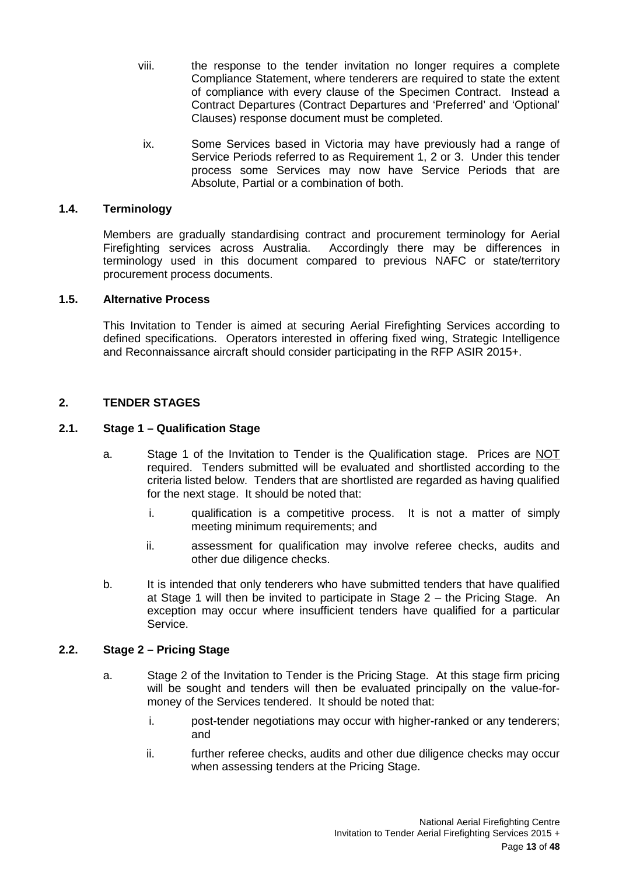- viii. the response to the tender invitation no longer requires a complete Compliance Statement, where tenderers are required to state the extent of compliance with every clause of the Specimen Contract. Instead a Contract Departures (Contract Departures and 'Preferred' and 'Optional' Clauses) response document must be completed.
- ix. Some Services based in Victoria may have previously had a range of Service Periods referred to as Requirement 1, 2 or 3. Under this tender process some Services may now have Service Periods that are Absolute, Partial or a combination of both.

# <span id="page-12-0"></span>**1.4. Terminology**

Members are gradually standardising contract and procurement terminology for Aerial Firefighting services across Australia. Accordingly there may be differences in terminology used in this document compared to previous NAFC or state/territory procurement process documents.

# <span id="page-12-1"></span>**1.5. Alternative Process**

This Invitation to Tender is aimed at securing Aerial Firefighting Services according to defined specifications. Operators interested in offering fixed wing, Strategic Intelligence and Reconnaissance aircraft should consider participating in the RFP ASIR 2015+.

# <span id="page-12-2"></span>**2. TENDER STAGES**

# <span id="page-12-3"></span>**2.1. Stage 1 – Qualification Stage**

- a. Stage 1 of the Invitation to Tender is the Qualification stage. Prices are NOT required. Tenders submitted will be evaluated and shortlisted according to the criteria listed below. Tenders that are shortlisted are regarded as having qualified for the next stage. It should be noted that:
	- i. qualification is a competitive process. It is not a matter of simply meeting minimum requirements; and
	- ii. assessment for qualification may involve referee checks, audits and other due diligence checks.
- b. It is intended that only tenderers who have submitted tenders that have qualified at Stage 1 will then be invited to participate in Stage 2 – the Pricing Stage. An exception may occur where insufficient tenders have qualified for a particular Service.

# <span id="page-12-4"></span>**2.2. Stage 2 – Pricing Stage**

- a. Stage 2 of the Invitation to Tender is the Pricing Stage. At this stage firm pricing will be sought and tenders will then be evaluated principally on the value-formoney of the Services tendered. It should be noted that:
	- i. post-tender negotiations may occur with higher-ranked or any tenderers; and
	- ii. further referee checks, audits and other due diligence checks may occur when assessing tenders at the Pricing Stage.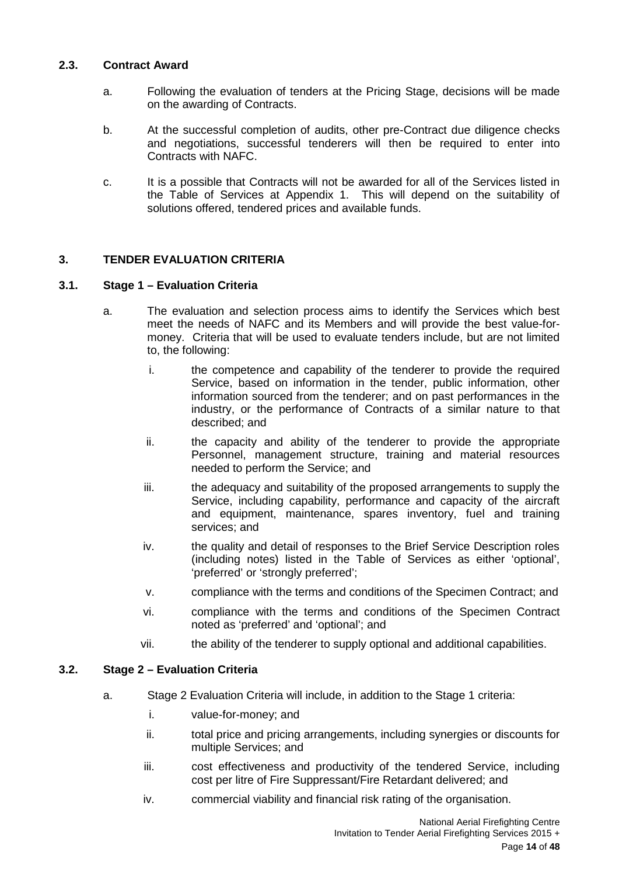# <span id="page-13-0"></span>**2.3. Contract Award**

- a. Following the evaluation of tenders at the Pricing Stage, decisions will be made on the awarding of Contracts.
- b. At the successful completion of audits, other pre-Contract due diligence checks and negotiations, successful tenderers will then be required to enter into Contracts with NAFC.
- c. It is a possible that Contracts will not be awarded for all of the Services listed in the Table of Services at Appendix 1. This will depend on the suitability of solutions offered, tendered prices and available funds.

# <span id="page-13-1"></span>**3. TENDER EVALUATION CRITERIA**

# <span id="page-13-2"></span>**3.1. Stage 1 – Evaluation Criteria**

- a. The evaluation and selection process aims to identify the Services which best meet the needs of NAFC and its Members and will provide the best value-formoney. Criteria that will be used to evaluate tenders include, but are not limited to, the following:
	- i. the competence and capability of the tenderer to provide the required Service, based on information in the tender, public information, other information sourced from the tenderer; and on past performances in the industry, or the performance of Contracts of a similar nature to that described; and
	- ii. the capacity and ability of the tenderer to provide the appropriate Personnel, management structure, training and material resources needed to perform the Service; and
	- iii. the adequacy and suitability of the proposed arrangements to supply the Service, including capability, performance and capacity of the aircraft and equipment, maintenance, spares inventory, fuel and training services; and
	- iv. the quality and detail of responses to the Brief Service Description roles (including notes) listed in the Table of Services as either 'optional', 'preferred' or 'strongly preferred';
	- v. compliance with the terms and conditions of the Specimen Contract; and
	- vi. compliance with the terms and conditions of the Specimen Contract noted as 'preferred' and 'optional'; and
	- vii. the ability of the tenderer to supply optional and additional capabilities.

# <span id="page-13-3"></span>**3.2. Stage 2 – Evaluation Criteria**

- a. Stage 2 Evaluation Criteria will include, in addition to the Stage 1 criteria:
	- i. value-for-money; and
	- ii. total price and pricing arrangements, including synergies or discounts for multiple Services; and
	- iii. cost effectiveness and productivity of the tendered Service, including cost per litre of Fire Suppressant/Fire Retardant delivered; and
	- iv. commercial viability and financial risk rating of the organisation.

National Aerial Firefighting Centre Invitation to Tender Aerial Firefighting Services 2015 +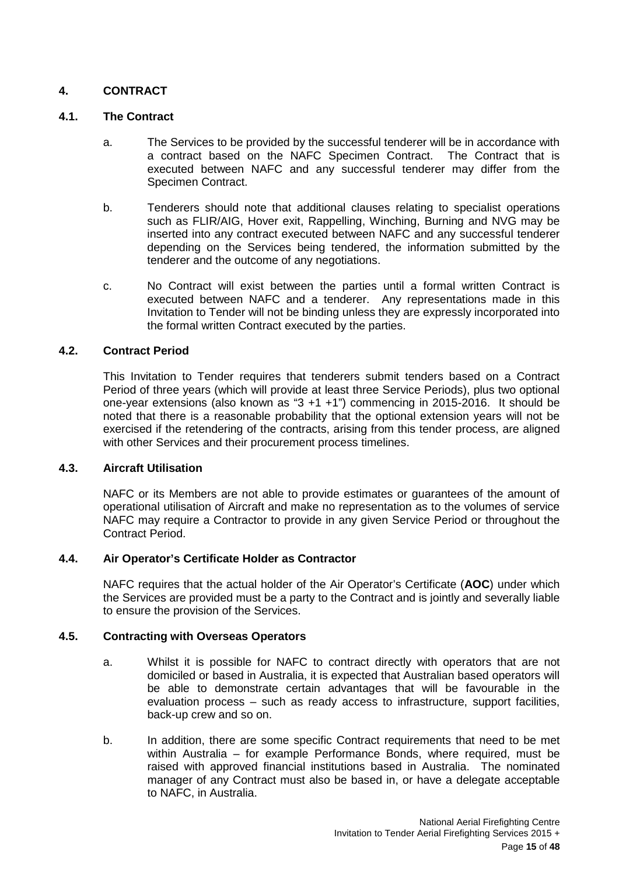# <span id="page-14-0"></span>**4. CONTRACT**

## <span id="page-14-1"></span>**4.1. The Contract**

- a. The Services to be provided by the successful tenderer will be in accordance with a contract based on the NAFC Specimen Contract. The Contract that is executed between NAFC and any successful tenderer may differ from the Specimen Contract.
- b. Tenderers should note that additional clauses relating to specialist operations such as FLIR/AIG, Hover exit, Rappelling, Winching, Burning and NVG may be inserted into any contract executed between NAFC and any successful tenderer depending on the Services being tendered, the information submitted by the tenderer and the outcome of any negotiations.
- c. No Contract will exist between the parties until a formal written Contract is executed between NAFC and a tenderer. Any representations made in this Invitation to Tender will not be binding unless they are expressly incorporated into the formal written Contract executed by the parties.

#### <span id="page-14-2"></span>**4.2. Contract Period**

This Invitation to Tender requires that tenderers submit tenders based on a Contract Period of three years (which will provide at least three Service Periods), plus two optional one-year extensions (also known as "3 +1 +1") commencing in 2015-2016. It should be noted that there is a reasonable probability that the optional extension years will not be exercised if the retendering of the contracts, arising from this tender process, are aligned with other Services and their procurement process timelines.

# <span id="page-14-3"></span>**4.3. Aircraft Utilisation**

NAFC or its Members are not able to provide estimates or guarantees of the amount of operational utilisation of Aircraft and make no representation as to the volumes of service NAFC may require a Contractor to provide in any given Service Period or throughout the Contract Period.

# <span id="page-14-4"></span>**4.4. Air Operator's Certificate Holder as Contractor**

NAFC requires that the actual holder of the Air Operator's Certificate (**AOC**) under which the Services are provided must be a party to the Contract and is jointly and severally liable to ensure the provision of the Services.

# <span id="page-14-5"></span>**4.5. Contracting with Overseas Operators**

- a. Whilst it is possible for NAFC to contract directly with operators that are not domiciled or based in Australia, it is expected that Australian based operators will be able to demonstrate certain advantages that will be favourable in the evaluation process – such as ready access to infrastructure, support facilities, back-up crew and so on.
- b. In addition, there are some specific Contract requirements that need to be met within Australia – for example Performance Bonds, where required, must be raised with approved financial institutions based in Australia. The nominated manager of any Contract must also be based in, or have a delegate acceptable to NAFC, in Australia.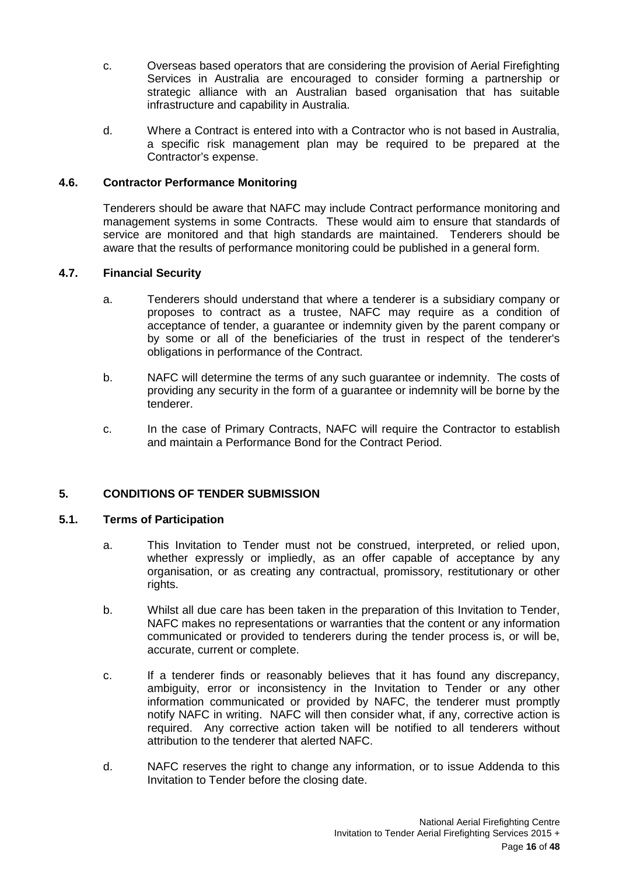- c. Overseas based operators that are considering the provision of Aerial Firefighting Services in Australia are encouraged to consider forming a partnership or strategic alliance with an Australian based organisation that has suitable infrastructure and capability in Australia.
- d. Where a Contract is entered into with a Contractor who is not based in Australia, a specific risk management plan may be required to be prepared at the Contractor's expense.

# <span id="page-15-0"></span>**4.6. Contractor Performance Monitoring**

Tenderers should be aware that NAFC may include Contract performance monitoring and management systems in some Contracts. These would aim to ensure that standards of service are monitored and that high standards are maintained. Tenderers should be aware that the results of performance monitoring could be published in a general form.

# <span id="page-15-1"></span>**4.7. Financial Security**

- a. Tenderers should understand that where a tenderer is a subsidiary company or proposes to contract as a trustee, NAFC may require as a condition of acceptance of tender, a guarantee or indemnity given by the parent company or by some or all of the beneficiaries of the trust in respect of the tenderer's obligations in performance of the Contract.
- b. NAFC will determine the terms of any such guarantee or indemnity. The costs of providing any security in the form of a guarantee or indemnity will be borne by the tenderer.
- c. In the case of Primary Contracts, NAFC will require the Contractor to establish and maintain a Performance Bond for the Contract Period.

# <span id="page-15-2"></span>**5. CONDITIONS OF TENDER SUBMISSION**

# <span id="page-15-3"></span>**5.1. Terms of Participation**

- a. This Invitation to Tender must not be construed, interpreted, or relied upon, whether expressly or impliedly, as an offer capable of acceptance by any organisation, or as creating any contractual, promissory, restitutionary or other rights.
- b. Whilst all due care has been taken in the preparation of this Invitation to Tender, NAFC makes no representations or warranties that the content or any information communicated or provided to tenderers during the tender process is, or will be, accurate, current or complete.
- c. If a tenderer finds or reasonably believes that it has found any discrepancy, ambiguity, error or inconsistency in the Invitation to Tender or any other information communicated or provided by NAFC, the tenderer must promptly notify NAFC in writing. NAFC will then consider what, if any, corrective action is required. Any corrective action taken will be notified to all tenderers without attribution to the tenderer that alerted NAFC.
- d. NAFC reserves the right to change any information, or to issue Addenda to this Invitation to Tender before the closing date.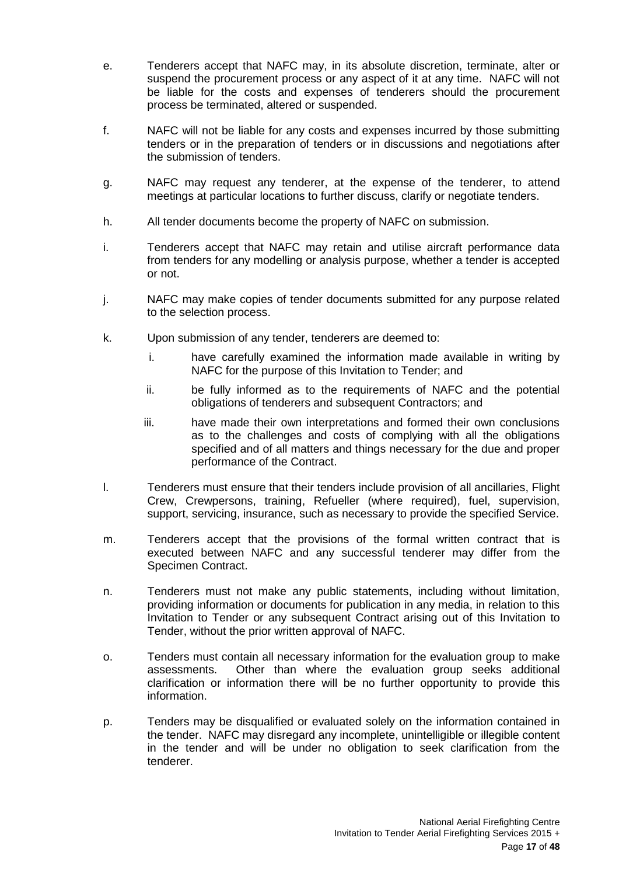- e. Tenderers accept that NAFC may, in its absolute discretion, terminate, alter or suspend the procurement process or any aspect of it at any time. NAFC will not be liable for the costs and expenses of tenderers should the procurement process be terminated, altered or suspended.
- f. NAFC will not be liable for any costs and expenses incurred by those submitting tenders or in the preparation of tenders or in discussions and negotiations after the submission of tenders.
- g. NAFC may request any tenderer, at the expense of the tenderer, to attend meetings at particular locations to further discuss, clarify or negotiate tenders.
- h. All tender documents become the property of NAFC on submission.
- i. Tenderers accept that NAFC may retain and utilise aircraft performance data from tenders for any modelling or analysis purpose, whether a tender is accepted or not.
- j. NAFC may make copies of tender documents submitted for any purpose related to the selection process.
- k. Upon submission of any tender, tenderers are deemed to:
	- i. have carefully examined the information made available in writing by NAFC for the purpose of this Invitation to Tender; and
	- ii. be fully informed as to the requirements of NAFC and the potential obligations of tenderers and subsequent Contractors; and
	- iii. have made their own interpretations and formed their own conclusions as to the challenges and costs of complying with all the obligations specified and of all matters and things necessary for the due and proper performance of the Contract.
- l. Tenderers must ensure that their tenders include provision of all ancillaries, Flight Crew, Crewpersons, training, Refueller (where required), fuel, supervision, support, servicing, insurance, such as necessary to provide the specified Service.
- m. Tenderers accept that the provisions of the formal written contract that is executed between NAFC and any successful tenderer may differ from the Specimen Contract.
- n. Tenderers must not make any public statements, including without limitation, providing information or documents for publication in any media, in relation to this Invitation to Tender or any subsequent Contract arising out of this Invitation to Tender, without the prior written approval of NAFC.
- o. Tenders must contain all necessary information for the evaluation group to make assessments. Other than where the evaluation group seeks additional clarification or information there will be no further opportunity to provide this information.
- p. Tenders may be disqualified or evaluated solely on the information contained in the tender. NAFC may disregard any incomplete, unintelligible or illegible content in the tender and will be under no obligation to seek clarification from the tenderer.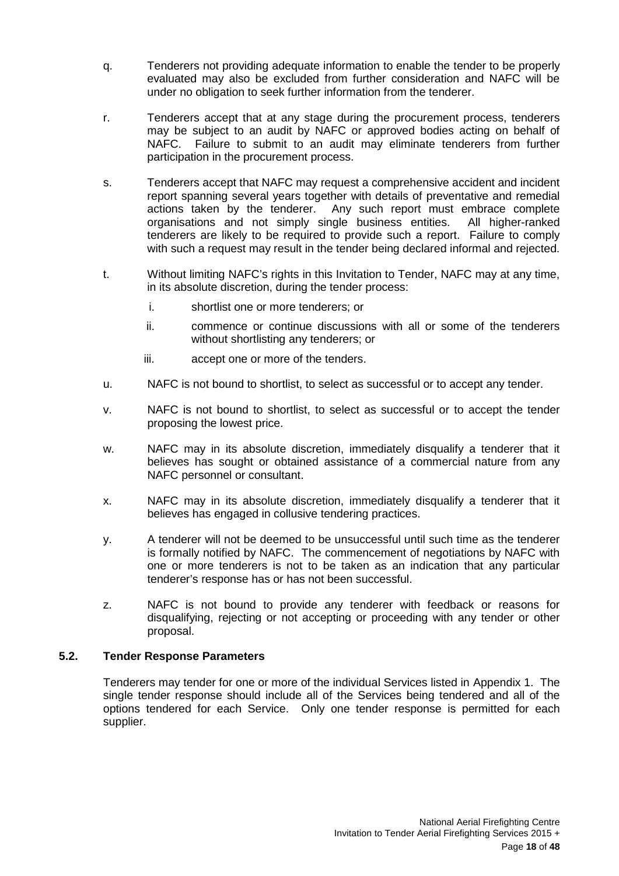- q. Tenderers not providing adequate information to enable the tender to be properly evaluated may also be excluded from further consideration and NAFC will be under no obligation to seek further information from the tenderer.
- r. Tenderers accept that at any stage during the procurement process, tenderers may be subject to an audit by NAFC or approved bodies acting on behalf of NAFC. Failure to submit to an audit may eliminate tenderers from further participation in the procurement process.
- s. Tenderers accept that NAFC may request a comprehensive accident and incident report spanning several years together with details of preventative and remedial actions taken by the tenderer. Any such report must embrace complete organisations and not simply single business entities. All higher-ranked tenderers are likely to be required to provide such a report. Failure to comply with such a request may result in the tender being declared informal and rejected.
- t. Without limiting NAFC's rights in this Invitation to Tender, NAFC may at any time, in its absolute discretion, during the tender process:
	- i. shortlist one or more tenderers; or
	- ii. commence or continue discussions with all or some of the tenderers without shortlisting any tenderers; or
	- iii. accept one or more of the tenders.
- u. NAFC is not bound to shortlist, to select as successful or to accept any tender.
- v. NAFC is not bound to shortlist, to select as successful or to accept the tender proposing the lowest price.
- w. NAFC may in its absolute discretion, immediately disqualify a tenderer that it believes has sought or obtained assistance of a commercial nature from any NAFC personnel or consultant.
- x. NAFC may in its absolute discretion, immediately disqualify a tenderer that it believes has engaged in collusive tendering practices.
- y. A tenderer will not be deemed to be unsuccessful until such time as the tenderer is formally notified by NAFC. The commencement of negotiations by NAFC with one or more tenderers is not to be taken as an indication that any particular tenderer's response has or has not been successful.
- z. NAFC is not bound to provide any tenderer with feedback or reasons for disqualifying, rejecting or not accepting or proceeding with any tender or other proposal.

# <span id="page-17-0"></span>**5.2. Tender Response Parameters**

Tenderers may tender for one or more of the individual Services listed in Appendix 1. The single tender response should include all of the Services being tendered and all of the options tendered for each Service. Only one tender response is permitted for each supplier.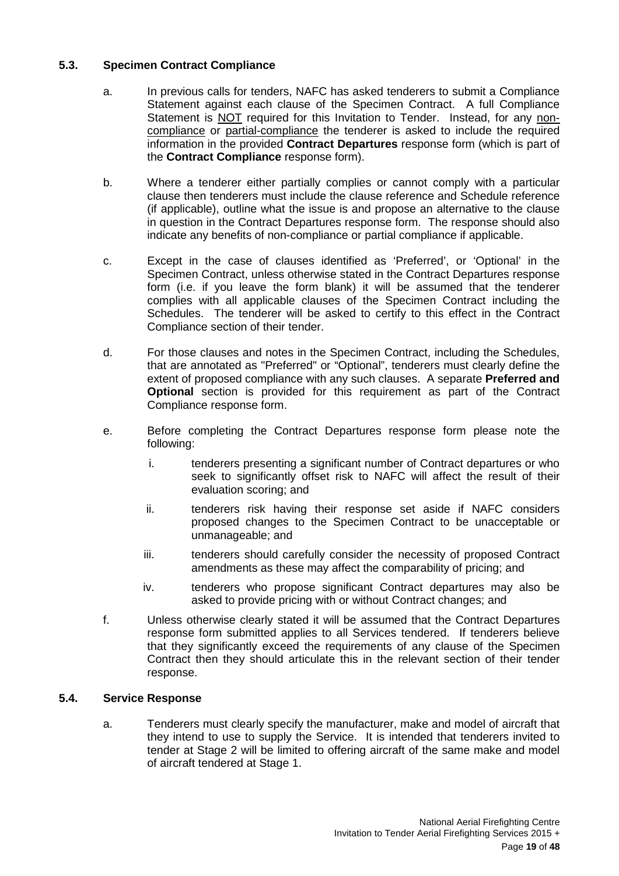# <span id="page-18-0"></span>**5.3. Specimen Contract Compliance**

- a. In previous calls for tenders, NAFC has asked tenderers to submit a Compliance Statement against each clause of the Specimen Contract. A full Compliance Statement is NOT required for this Invitation to Tender. Instead, for any noncompliance or partial-compliance the tenderer is asked to include the required information in the provided **Contract Departures** response form (which is part of the **Contract Compliance** response form).
- b. Where a tenderer either partially complies or cannot comply with a particular clause then tenderers must include the clause reference and Schedule reference (if applicable), outline what the issue is and propose an alternative to the clause in question in the Contract Departures response form. The response should also indicate any benefits of non-compliance or partial compliance if applicable.
- c. Except in the case of clauses identified as 'Preferred', or 'Optional' in the Specimen Contract, unless otherwise stated in the Contract Departures response form (i.e. if you leave the form blank) it will be assumed that the tenderer complies with all applicable clauses of the Specimen Contract including the Schedules. The tenderer will be asked to certify to this effect in the Contract Compliance section of their tender.
- d. For those clauses and notes in the Specimen Contract, including the Schedules, that are annotated as "Preferred" or "Optional", tenderers must clearly define the extent of proposed compliance with any such clauses. A separate **Preferred and Optional** section is provided for this requirement as part of the Contract Compliance response form.
- e. Before completing the Contract Departures response form please note the following:
	- i. tenderers presenting a significant number of Contract departures or who seek to significantly offset risk to NAFC will affect the result of their evaluation scoring; and
	- ii. tenderers risk having their response set aside if NAFC considers proposed changes to the Specimen Contract to be unacceptable or unmanageable; and
	- iii. tenderers should carefully consider the necessity of proposed Contract amendments as these may affect the comparability of pricing; and
	- iv. tenderers who propose significant Contract departures may also be asked to provide pricing with or without Contract changes; and
- f. Unless otherwise clearly stated it will be assumed that the Contract Departures response form submitted applies to all Services tendered. If tenderers believe that they significantly exceed the requirements of any clause of the Specimen Contract then they should articulate this in the relevant section of their tender response.

# <span id="page-18-1"></span>**5.4. Service Response**

a. Tenderers must clearly specify the manufacturer, make and model of aircraft that they intend to use to supply the Service. It is intended that tenderers invited to tender at Stage 2 will be limited to offering aircraft of the same make and model of aircraft tendered at Stage 1.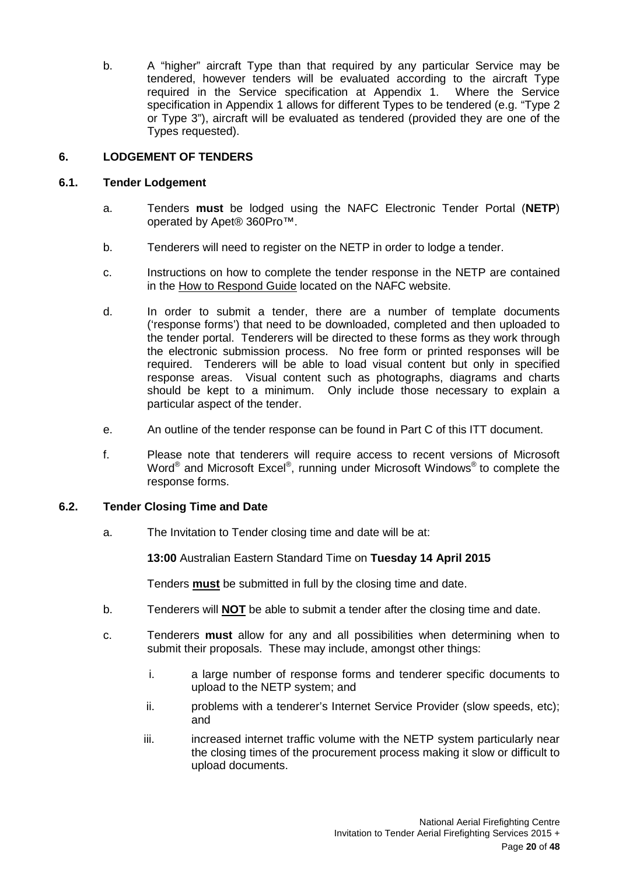b. A "higher" aircraft Type than that required by any particular Service may be tendered, however tenders will be evaluated according to the aircraft Type required in the Service specification at Appendix 1. Where the Service specification in Appendix 1 allows for different Types to be tendered (e.g. "Type 2 or Type 3"), aircraft will be evaluated as tendered (provided they are one of the Types requested).

# <span id="page-19-0"></span>**6. LODGEMENT OF TENDERS**

# <span id="page-19-1"></span>**6.1. Tender Lodgement**

- a. Tenders **must** be lodged using the NAFC Electronic Tender Portal (**NETP**) operated by Apet® 360Pro™.
- b. Tenderers will need to register on the NETP in order to lodge a tender.
- c. Instructions on how to complete the tender response in the NETP are contained in the How to Respond Guide located on the NAFC website.
- d. In order to submit a tender, there are a number of template documents ('response forms') that need to be downloaded, completed and then uploaded to the tender portal. Tenderers will be directed to these forms as they work through the electronic submission process. No free form or printed responses will be required. Tenderers will be able to load visual content but only in specified response areas. Visual content such as photographs, diagrams and charts should be kept to a minimum. Only include those necessary to explain a particular aspect of the tender.
- e. An outline of the tender response can be found in Part C of this ITT document.
- f. Please note that tenderers will require access to recent versions of Microsoft Word<sup>®</sup> and Microsoft Excel<sup>®</sup>, running under Microsoft Windows<sup>®</sup> to complete the response forms.

# <span id="page-19-2"></span>**6.2. Tender Closing Time and Date**

a. The Invitation to Tender closing time and date will be at:

**13:00** Australian Eastern Standard Time on **Tuesday 14 April 2015**

Tenders **must** be submitted in full by the closing time and date.

- b. Tenderers will **NOT** be able to submit a tender after the closing time and date.
- c. Tenderers **must** allow for any and all possibilities when determining when to submit their proposals. These may include, amongst other things:
	- i. a large number of response forms and tenderer specific documents to upload to the NETP system; and
	- ii. problems with a tenderer's Internet Service Provider (slow speeds, etc); and
	- iii. iii. increased internet traffic volume with the NETP system particularly near the closing times of the procurement process making it slow or difficult to upload documents.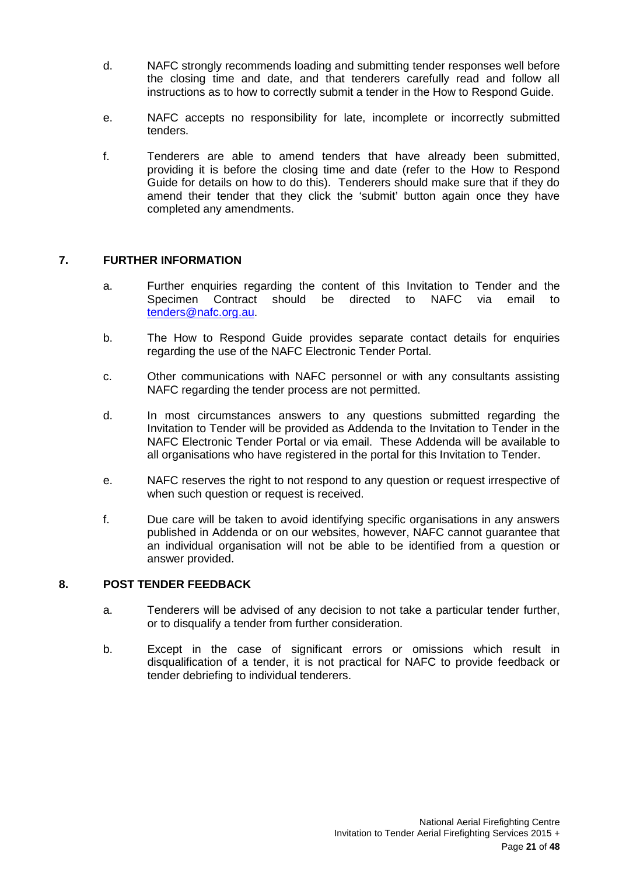- d. NAFC strongly recommends loading and submitting tender responses well before the closing time and date, and that tenderers carefully read and follow all instructions as to how to correctly submit a tender in the How to Respond Guide.
- e. NAFC accepts no responsibility for late, incomplete or incorrectly submitted tenders.
- f. Tenderers are able to amend tenders that have already been submitted, providing it is before the closing time and date (refer to the How to Respond Guide for details on how to do this). Tenderers should make sure that if they do amend their tender that they click the 'submit' button again once they have completed any amendments.

# <span id="page-20-0"></span>**7. FURTHER INFORMATION**

- a. Further enquiries regarding the content of this Invitation to Tender and the Specimen Contract should be directed to NAFC via email to [tenders@nafc.org.au.](mailto:tenders@nafc.org.au)
- b. The How to Respond Guide provides separate contact details for enquiries regarding the use of the NAFC Electronic Tender Portal.
- c. Other communications with NAFC personnel or with any consultants assisting NAFC regarding the tender process are not permitted.
- d. In most circumstances answers to any questions submitted regarding the Invitation to Tender will be provided as Addenda to the Invitation to Tender in the NAFC Electronic Tender Portal or via email. These Addenda will be available to all organisations who have registered in the portal for this Invitation to Tender.
- e. NAFC reserves the right to not respond to any question or request irrespective of when such question or request is received.
- f. Due care will be taken to avoid identifying specific organisations in any answers published in Addenda or on our websites, however, NAFC cannot guarantee that an individual organisation will not be able to be identified from a question or answer provided.

# <span id="page-20-1"></span>**8. POST TENDER FEEDBACK**

- a. Tenderers will be advised of any decision to not take a particular tender further, or to disqualify a tender from further consideration.
- b. Except in the case of significant errors or omissions which result in disqualification of a tender, it is not practical for NAFC to provide feedback or tender debriefing to individual tenderers.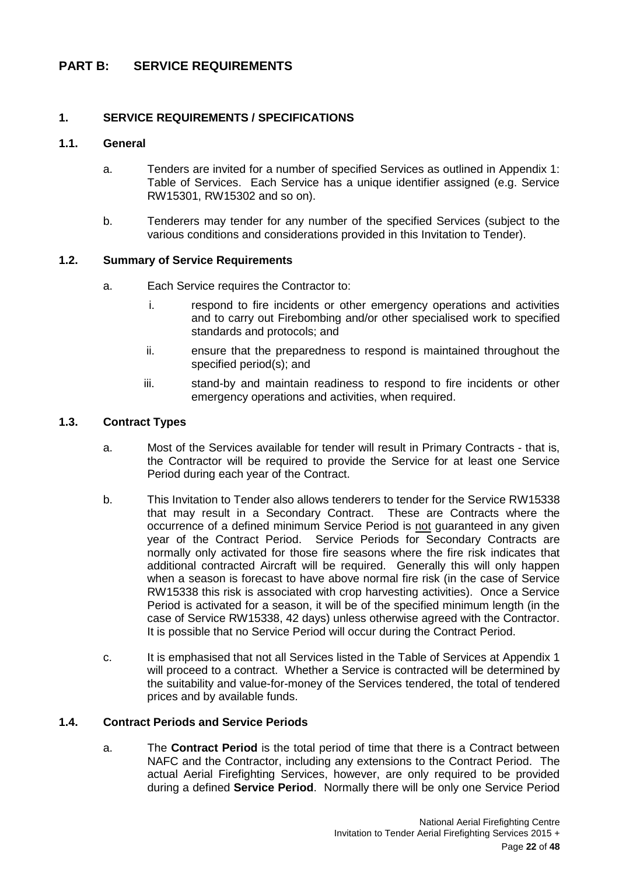# <span id="page-21-0"></span>**PART B: SERVICE REQUIREMENTS**

# <span id="page-21-1"></span>**1. SERVICE REQUIREMENTS / SPECIFICATIONS**

### <span id="page-21-2"></span>**1.1. General**

- a. Tenders are invited for a number of specified Services as outlined in Appendix 1: Table of Services. Each Service has a unique identifier assigned (e.g. Service RW15301, RW15302 and so on).
- b. Tenderers may tender for any number of the specified Services (subject to the various conditions and considerations provided in this Invitation to Tender).

#### <span id="page-21-3"></span>**1.2. Summary of Service Requirements**

- a. Each Service requires the Contractor to:
	- i. respond to fire incidents or other emergency operations and activities and to carry out Firebombing and/or other specialised work to specified standards and protocols; and
	- ii. ensure that the preparedness to respond is maintained throughout the specified period(s); and
	- iii. stand-by and maintain readiness to respond to fire incidents or other emergency operations and activities, when required.

#### <span id="page-21-4"></span>**1.3. Contract Types**

- a. Most of the Services available for tender will result in Primary Contracts that is, the Contractor will be required to provide the Service for at least one Service Period during each year of the Contract.
- b. This Invitation to Tender also allows tenderers to tender for the Service RW15338 that may result in a Secondary Contract. These are Contracts where the occurrence of a defined minimum Service Period is not guaranteed in any given year of the Contract Period. Service Periods for Secondary Contracts are normally only activated for those fire seasons where the fire risk indicates that additional contracted Aircraft will be required. Generally this will only happen when a season is forecast to have above normal fire risk (in the case of Service RW15338 this risk is associated with crop harvesting activities). Once a Service Period is activated for a season, it will be of the specified minimum length (in the case of Service RW15338, 42 days) unless otherwise agreed with the Contractor. It is possible that no Service Period will occur during the Contract Period.
- c. It is emphasised that not all Services listed in the Table of Services at Appendix 1 will proceed to a contract. Whether a Service is contracted will be determined by the suitability and value-for-money of the Services tendered, the total of tendered prices and by available funds.

# <span id="page-21-5"></span>**1.4. Contract Periods and Service Periods**

a. The **Contract Period** is the total period of time that there is a Contract between NAFC and the Contractor, including any extensions to the Contract Period. The actual Aerial Firefighting Services, however, are only required to be provided during a defined **Service Period**. Normally there will be only one Service Period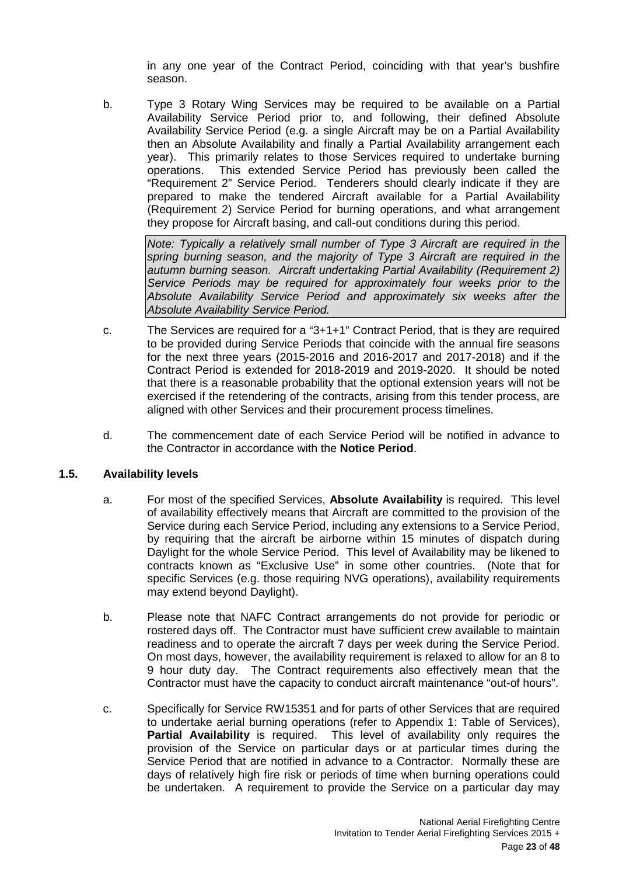in any one year of the Contract Period, coinciding with that year's bushfire season.

b. Type 3 Rotary Wing Services may be required to be available on a Partial Availability Service Period prior to, and following, their defined Absolute Availability Service Period (e.g. a single Aircraft may be on a Partial Availability then an Absolute Availability and finally a Partial Availability arrangement each year). This primarily relates to those Services required to undertake burning operations. This extended Service Period has previously been called the "Requirement 2" Service Period. Tenderers should clearly indicate if they are prepared to make the tendered Aircraft available for a Partial Availability (Requirement 2) Service Period for burning operations, and what arrangement they propose for Aircraft basing, and call-out conditions during this period.

*Note: Typically a relatively small number of Type 3 Aircraft are required in the spring burning season, and the majority of Type 3 Aircraft are required in the autumn burning season. Aircraft undertaking Partial Availability (Requirement 2) Service Periods may be required for approximately four weeks prior to the Absolute Availability Service Period and approximately six weeks after the Absolute Availability Service Period.*

- c. The Services are required for a "3+1+1" Contract Period, that is they are required to be provided during Service Periods that coincide with the annual fire seasons for the next three years (2015-2016 and 2016-2017 and 2017-2018) and if the Contract Period is extended for 2018-2019 and 2019-2020. It should be noted that there is a reasonable probability that the optional extension years will not be exercised if the retendering of the contracts, arising from this tender process, are aligned with other Services and their procurement process timelines.
- d. The commencement date of each Service Period will be notified in advance to the Contractor in accordance with the **Notice Period**.

# <span id="page-22-0"></span>**1.5. Availability levels**

- a. For most of the specified Services, **Absolute Availability** is required. This level of availability effectively means that Aircraft are committed to the provision of the Service during each Service Period, including any extensions to a Service Period, by requiring that the aircraft be airborne within 15 minutes of dispatch during Daylight for the whole Service Period. This level of Availability may be likened to contracts known as "Exclusive Use" in some other countries. (Note that for specific Services (e.g. those requiring NVG operations), availability requirements may extend beyond Daylight).
- b. Please note that NAFC Contract arrangements do not provide for periodic or rostered days off. The Contractor must have sufficient crew available to maintain readiness and to operate the aircraft 7 days per week during the Service Period. On most days, however, the availability requirement is relaxed to allow for an 8 to 9 hour duty day. The Contract requirements also effectively mean that the Contractor must have the capacity to conduct aircraft maintenance "out-of hours".
- c. Specifically for Service RW15351 and for parts of other Services that are required to undertake aerial burning operations (refer to Appendix 1: Table of Services), **Partial Availability** is required. This level of availability only requires the provision of the Service on particular days or at particular times during the Service Period that are notified in advance to a Contractor. Normally these are days of relatively high fire risk or periods of time when burning operations could be undertaken. A requirement to provide the Service on a particular day may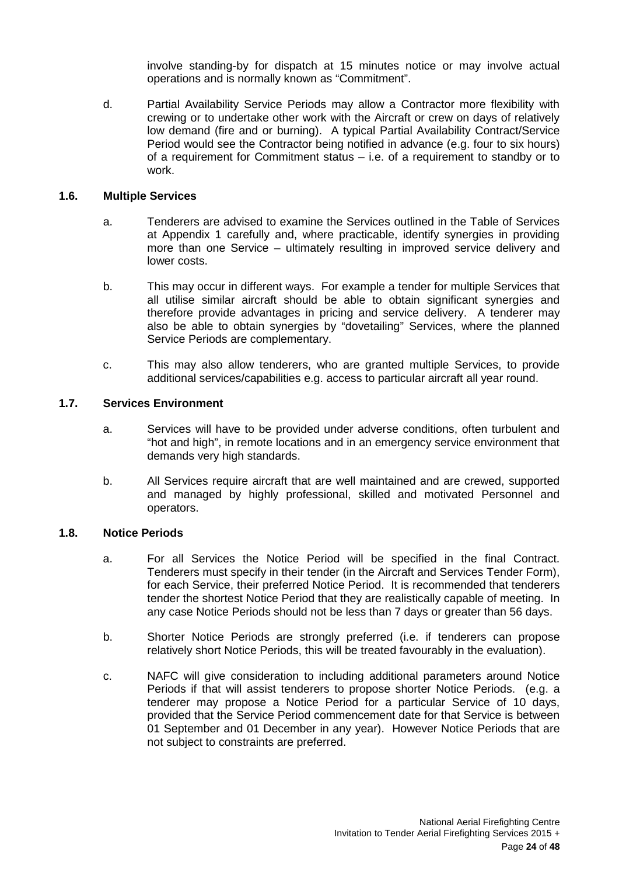involve standing-by for dispatch at 15 minutes notice or may involve actual operations and is normally known as "Commitment".

d. Partial Availability Service Periods may allow a Contractor more flexibility with crewing or to undertake other work with the Aircraft or crew on days of relatively low demand (fire and or burning). A typical Partial Availability Contract/Service Period would see the Contractor being notified in advance (e.g. four to six hours) of a requirement for Commitment status – i.e. of a requirement to standby or to work.

#### <span id="page-23-0"></span>**1.6. Multiple Services**

- a. Tenderers are advised to examine the Services outlined in the Table of Services at Appendix 1 carefully and, where practicable, identify synergies in providing more than one Service – ultimately resulting in improved service delivery and lower costs.
- b. This may occur in different ways. For example a tender for multiple Services that all utilise similar aircraft should be able to obtain significant synergies and therefore provide advantages in pricing and service delivery. A tenderer may also be able to obtain synergies by "dovetailing" Services, where the planned Service Periods are complementary.
- c. This may also allow tenderers, who are granted multiple Services, to provide additional services/capabilities e.g. access to particular aircraft all year round.

## <span id="page-23-1"></span>**1.7. Services Environment**

- a. Services will have to be provided under adverse conditions, often turbulent and "hot and high", in remote locations and in an emergency service environment that demands very high standards.
- b. All Services require aircraft that are well maintained and are crewed, supported and managed by highly professional, skilled and motivated Personnel and operators.

# <span id="page-23-2"></span>**1.8. Notice Periods**

- a. For all Services the Notice Period will be specified in the final Contract. Tenderers must specify in their tender (in the Aircraft and Services Tender Form), for each Service, their preferred Notice Period. It is recommended that tenderers tender the shortest Notice Period that they are realistically capable of meeting. In any case Notice Periods should not be less than 7 days or greater than 56 days.
- b. Shorter Notice Periods are strongly preferred (i.e. if tenderers can propose relatively short Notice Periods, this will be treated favourably in the evaluation).
- c. NAFC will give consideration to including additional parameters around Notice Periods if that will assist tenderers to propose shorter Notice Periods. (e.g. a tenderer may propose a Notice Period for a particular Service of 10 days, provided that the Service Period commencement date for that Service is between 01 September and 01 December in any year). However Notice Periods that are not subject to constraints are preferred.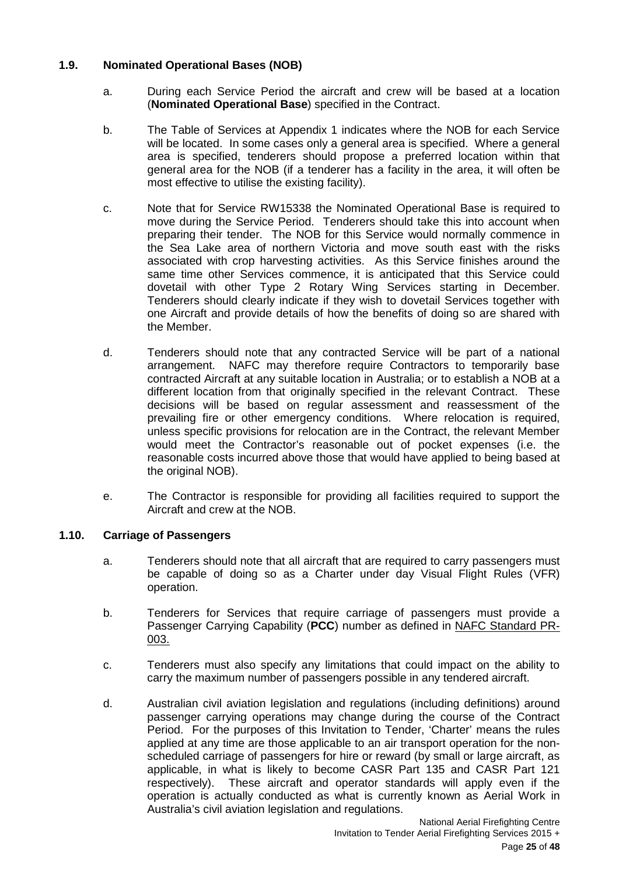# <span id="page-24-0"></span>**1.9. Nominated Operational Bases (NOB)**

- a. During each Service Period the aircraft and crew will be based at a location (**Nominated Operational Base**) specified in the Contract.
- b. The Table of Services at Appendix 1 indicates where the NOB for each Service will be located. In some cases only a general area is specified. Where a general area is specified, tenderers should propose a preferred location within that general area for the NOB (if a tenderer has a facility in the area, it will often be most effective to utilise the existing facility).
- c. Note that for Service RW15338 the Nominated Operational Base is required to move during the Service Period. Tenderers should take this into account when preparing their tender. The NOB for this Service would normally commence in the Sea Lake area of northern Victoria and move south east with the risks associated with crop harvesting activities. As this Service finishes around the same time other Services commence, it is anticipated that this Service could dovetail with other Type 2 Rotary Wing Services starting in December. Tenderers should clearly indicate if they wish to dovetail Services together with one Aircraft and provide details of how the benefits of doing so are shared with the Member.
- d. Tenderers should note that any contracted Service will be part of a national arrangement. NAFC may therefore require Contractors to temporarily base contracted Aircraft at any suitable location in Australia; or to establish a NOB at a different location from that originally specified in the relevant Contract. These decisions will be based on regular assessment and reassessment of the prevailing fire or other emergency conditions. Where relocation is required, unless specific provisions for relocation are in the Contract, the relevant Member would meet the Contractor's reasonable out of pocket expenses (i.e. the reasonable costs incurred above those that would have applied to being based at the original NOB).
- e. The Contractor is responsible for providing all facilities required to support the Aircraft and crew at the NOB.

# <span id="page-24-1"></span>**1.10. Carriage of Passengers**

- a. Tenderers should note that all aircraft that are required to carry passengers must be capable of doing so as a Charter under day Visual Flight Rules (VFR) operation.
- b. Tenderers for Services that require carriage of passengers must provide a Passenger Carrying Capability (**PCC**) number as defined in NAFC Standard PR-003.
- c. Tenderers must also specify any limitations that could impact on the ability to carry the maximum number of passengers possible in any tendered aircraft.
- d. Australian civil aviation legislation and regulations (including definitions) around passenger carrying operations may change during the course of the Contract Period. For the purposes of this Invitation to Tender, 'Charter' means the rules applied at any time are those applicable to an air transport operation for the nonscheduled carriage of passengers for hire or reward (by small or large aircraft, as applicable, in what is likely to become CASR Part 135 and CASR Part 121 respectively). These aircraft and operator standards will apply even if the operation is actually conducted as what is currently known as Aerial Work in Australia's civil aviation legislation and regulations.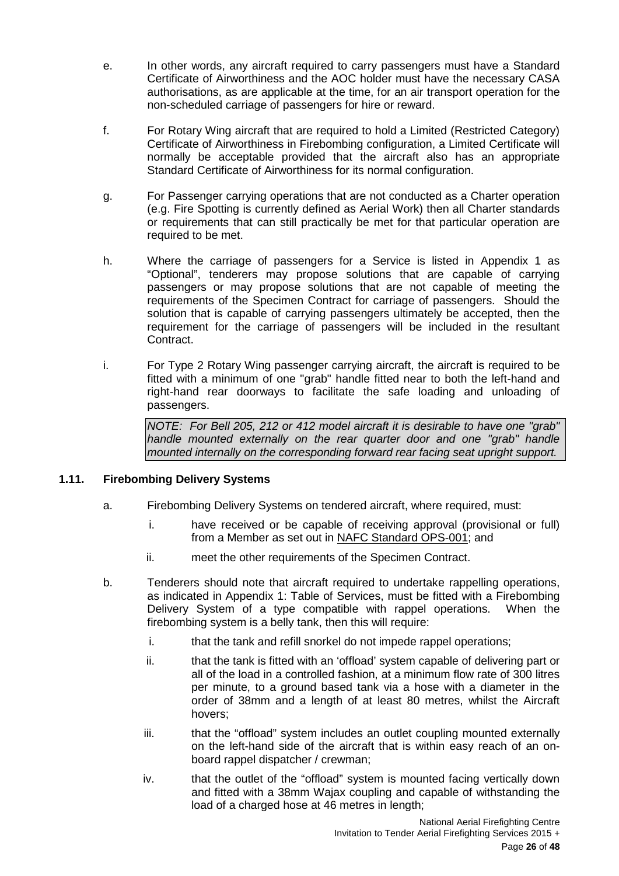- e. In other words, any aircraft required to carry passengers must have a Standard Certificate of Airworthiness and the AOC holder must have the necessary CASA authorisations, as are applicable at the time, for an air transport operation for the non-scheduled carriage of passengers for hire or reward.
- f. For Rotary Wing aircraft that are required to hold a Limited (Restricted Category) Certificate of Airworthiness in Firebombing configuration, a Limited Certificate will normally be acceptable provided that the aircraft also has an appropriate Standard Certificate of Airworthiness for its normal configuration.
- g. For Passenger carrying operations that are not conducted as a Charter operation (e.g. Fire Spotting is currently defined as Aerial Work) then all Charter standards or requirements that can still practically be met for that particular operation are required to be met.
- h. Where the carriage of passengers for a Service is listed in Appendix 1 as "Optional", tenderers may propose solutions that are capable of carrying passengers or may propose solutions that are not capable of meeting the requirements of the Specimen Contract for carriage of passengers. Should the solution that is capable of carrying passengers ultimately be accepted, then the requirement for the carriage of passengers will be included in the resultant Contract.
- i. For Type 2 Rotary Wing passenger carrying aircraft, the aircraft is required to be fitted with a minimum of one "grab" handle fitted near to both the left-hand and right-hand rear doorways to facilitate the safe loading and unloading of passengers.

*NOTE: For Bell 205, 212 or 412 model aircraft it is desirable to have one "grab" handle mounted externally on the rear quarter door and one "grab" handle mounted internally on the corresponding forward rear facing seat upright support.*

# <span id="page-25-0"></span>**1.11. Firebombing Delivery Systems**

- a. Firebombing Delivery Systems on tendered aircraft, where required, must:
	- i. have received or be capable of receiving approval (provisional or full) from a Member as set out in NAFC Standard OPS-001; and
	- ii. meet the other requirements of the Specimen Contract.
- b. Tenderers should note that aircraft required to undertake rappelling operations, as indicated in Appendix 1: Table of Services, must be fitted with a Firebombing Delivery System of a type compatible with rappel operations. When the firebombing system is a belly tank, then this will require:
	- i. that the tank and refill snorkel do not impede rappel operations;
	- ii. that the tank is fitted with an 'offload' system capable of delivering part or all of the load in a controlled fashion, at a minimum flow rate of 300 litres per minute, to a ground based tank via a hose with a diameter in the order of 38mm and a length of at least 80 metres, whilst the Aircraft hovers;
	- iii. that the "offload" system includes an outlet coupling mounted externally on the left-hand side of the aircraft that is within easy reach of an onboard rappel dispatcher / crewman;
	- iv. that the outlet of the "offload" system is mounted facing vertically down and fitted with a 38mm Wajax coupling and capable of withstanding the load of a charged hose at 46 metres in length;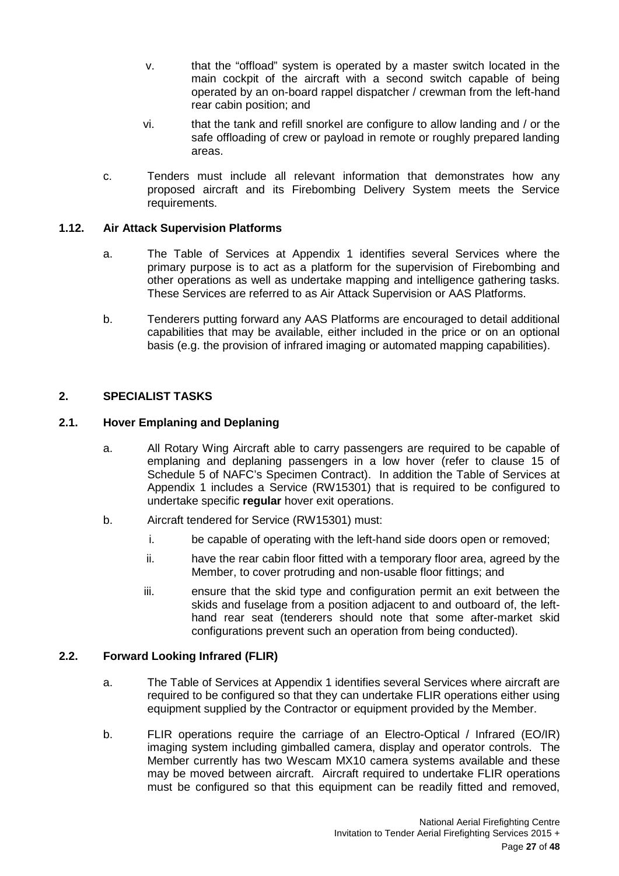- v. that the "offload" system is operated by a master switch located in the main cockpit of the aircraft with a second switch capable of being operated by an on-board rappel dispatcher / crewman from the left-hand rear cabin position; and
- vi. that the tank and refill snorkel are configure to allow landing and / or the safe offloading of crew or payload in remote or roughly prepared landing areas.
- c. Tenders must include all relevant information that demonstrates how any proposed aircraft and its Firebombing Delivery System meets the Service requirements.

# <span id="page-26-0"></span>**1.12. Air Attack Supervision Platforms**

- a. The Table of Services at Appendix 1 identifies several Services where the primary purpose is to act as a platform for the supervision of Firebombing and other operations as well as undertake mapping and intelligence gathering tasks. These Services are referred to as Air Attack Supervision or AAS Platforms.
- b. Tenderers putting forward any AAS Platforms are encouraged to detail additional capabilities that may be available, either included in the price or on an optional basis (e.g. the provision of infrared imaging or automated mapping capabilities).

# <span id="page-26-1"></span>**2. SPECIALIST TASKS**

# <span id="page-26-2"></span>**2.1. Hover Emplaning and Deplaning**

- a. All Rotary Wing Aircraft able to carry passengers are required to be capable of emplaning and deplaning passengers in a low hover (refer to clause 15 of Schedule 5 of NAFC's Specimen Contract). In addition the Table of Services at Appendix 1 includes a Service (RW15301) that is required to be configured to undertake specific **regular** hover exit operations.
- b. Aircraft tendered for Service (RW15301) must:
	- i. be capable of operating with the left-hand side doors open or removed;
	- ii. have the rear cabin floor fitted with a temporary floor area, agreed by the Member, to cover protruding and non-usable floor fittings; and
	- iii. ensure that the skid type and configuration permit an exit between the skids and fuselage from a position adjacent to and outboard of, the lefthand rear seat (tenderers should note that some after-market skid configurations prevent such an operation from being conducted).

# <span id="page-26-3"></span>**2.2. Forward Looking Infrared (FLIR)**

- a. The Table of Services at Appendix 1 identifies several Services where aircraft are required to be configured so that they can undertake FLIR operations either using equipment supplied by the Contractor or equipment provided by the Member.
- b. FLIR operations require the carriage of an Electro-Optical / Infrared (EO/IR) imaging system including gimballed camera, display and operator controls. The Member currently has two Wescam MX10 camera systems available and these may be moved between aircraft. Aircraft required to undertake FLIR operations must be configured so that this equipment can be readily fitted and removed,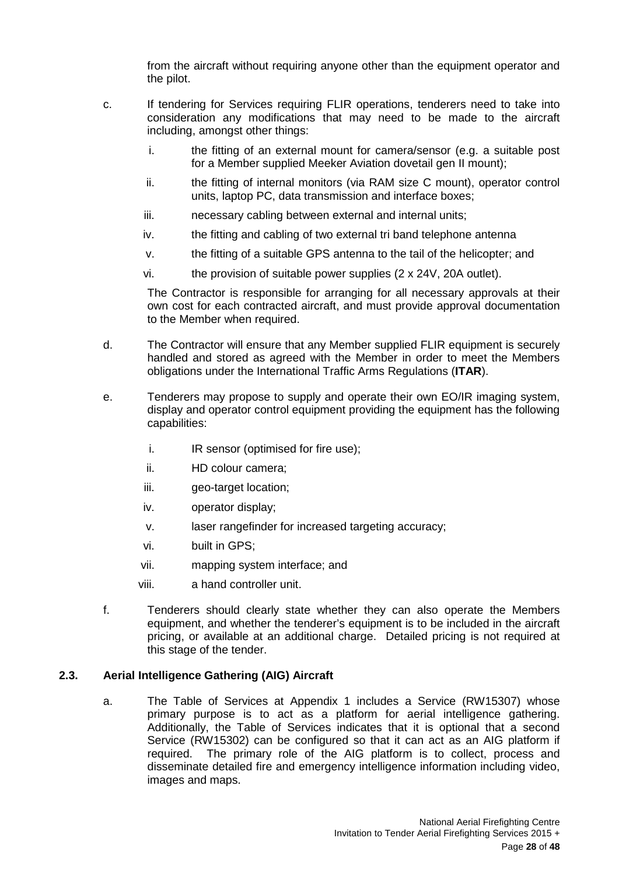from the aircraft without requiring anyone other than the equipment operator and the pilot.

- c. If tendering for Services requiring FLIR operations, tenderers need to take into consideration any modifications that may need to be made to the aircraft including, amongst other things:
	- i. the fitting of an external mount for camera/sensor (e.g. a suitable post for a Member supplied Meeker Aviation dovetail gen II mount);
	- ii. the fitting of internal monitors (via RAM size C mount), operator control units, laptop PC, data transmission and interface boxes;
	- iii. necessary cabling between external and internal units;
	- iv. the fitting and cabling of two external tri band telephone antenna
	- v. the fitting of a suitable GPS antenna to the tail of the helicopter; and
	- vi. the provision of suitable power supplies (2 x 24V, 20A outlet).

The Contractor is responsible for arranging for all necessary approvals at their own cost for each contracted aircraft, and must provide approval documentation to the Member when required.

- d. The Contractor will ensure that any Member supplied FLIR equipment is securely handled and stored as agreed with the Member in order to meet the Members obligations under the International Traffic Arms Regulations (**ITAR**).
- e. Tenderers may propose to supply and operate their own EO/IR imaging system, display and operator control equipment providing the equipment has the following capabilities:
	- i. IR sensor (optimised for fire use);
	- ii. HD colour camera;
	- iii. geo-target location;
	- iv. operator display;
	- v. laser rangefinder for increased targeting accuracy;
	- vi. built in GPS;
	- vii. mapping system interface; and
	- viii. a hand controller unit.
- f. Tenderers should clearly state whether they can also operate the Members equipment, and whether the tenderer's equipment is to be included in the aircraft pricing, or available at an additional charge. Detailed pricing is not required at this stage of the tender.

# <span id="page-27-0"></span>**2.3. Aerial Intelligence Gathering (AIG) Aircraft**

a. The Table of Services at Appendix 1 includes a Service (RW15307) whose primary purpose is to act as a platform for aerial intelligence gathering. Additionally, the Table of Services indicates that it is optional that a second Service (RW15302) can be configured so that it can act as an AIG platform if required. The primary role of the AIG platform is to collect, process and disseminate detailed fire and emergency intelligence information including video, images and maps.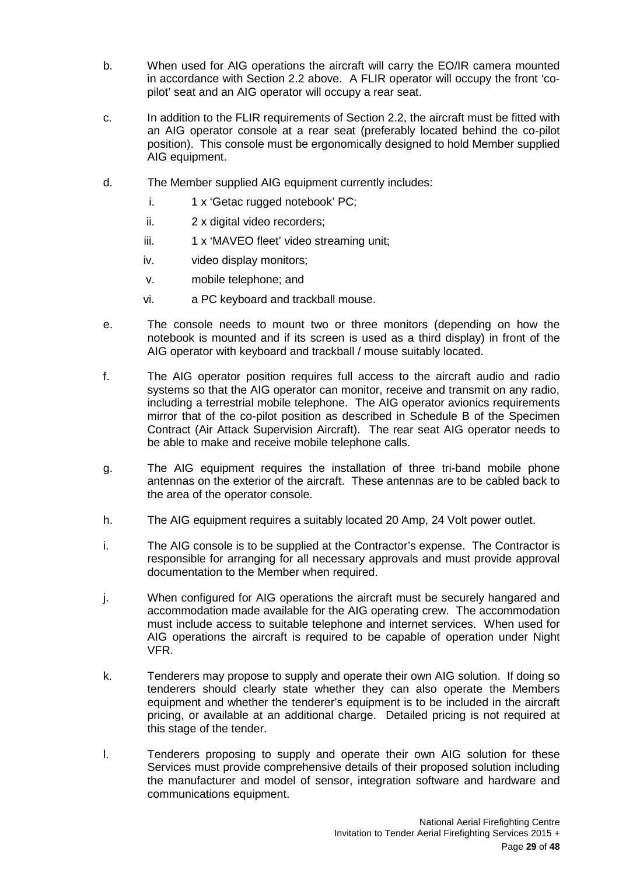- b. When used for AIG operations the aircraft will carry the EO/IR camera mounted in accordance with Section 2.2 above. A FLIR operator will occupy the front 'copilot' seat and an AIG operator will occupy a rear seat.
- c. In addition to the FLIR requirements of Section 2.2, the aircraft must be fitted with an AIG operator console at a rear seat (preferably located behind the co-pilot position). This console must be ergonomically designed to hold Member supplied AIG equipment.
- d. The Member supplied AIG equipment currently includes:
	- i. 1 x 'Getac rugged notebook' PC;
	- ii. 2 x digital video recorders;
	- iii. 1 x 'MAVEO fleet' video streaming unit;
	- iv. video display monitors;
	- v. mobile telephone; and
	- vi. a PC keyboard and trackball mouse.
- e. The console needs to mount two or three monitors (depending on how the notebook is mounted and if its screen is used as a third display) in front of the AIG operator with keyboard and trackball / mouse suitably located.
- f. The AIG operator position requires full access to the aircraft audio and radio systems so that the AIG operator can monitor, receive and transmit on any radio, including a terrestrial mobile telephone. The AIG operator avionics requirements mirror that of the co-pilot position as described in Schedule B of the Specimen Contract (Air Attack Supervision Aircraft). The rear seat AIG operator needs to be able to make and receive mobile telephone calls.
- g. The AIG equipment requires the installation of three tri-band mobile phone antennas on the exterior of the aircraft. These antennas are to be cabled back to the area of the operator console.
- h. The AIG equipment requires a suitably located 20 Amp, 24 Volt power outlet.
- i. The AIG console is to be supplied at the Contractor's expense. The Contractor is responsible for arranging for all necessary approvals and must provide approval documentation to the Member when required.
- j. When configured for AIG operations the aircraft must be securely hangared and accommodation made available for the AIG operating crew. The accommodation must include access to suitable telephone and internet services. When used for AIG operations the aircraft is required to be capable of operation under Night VFR.
- k. Tenderers may propose to supply and operate their own AIG solution. If doing so tenderers should clearly state whether they can also operate the Members equipment and whether the tenderer's equipment is to be included in the aircraft pricing, or available at an additional charge. Detailed pricing is not required at this stage of the tender.
- l. Tenderers proposing to supply and operate their own AIG solution for these Services must provide comprehensive details of their proposed solution including the manufacturer and model of sensor, integration software and hardware and communications equipment.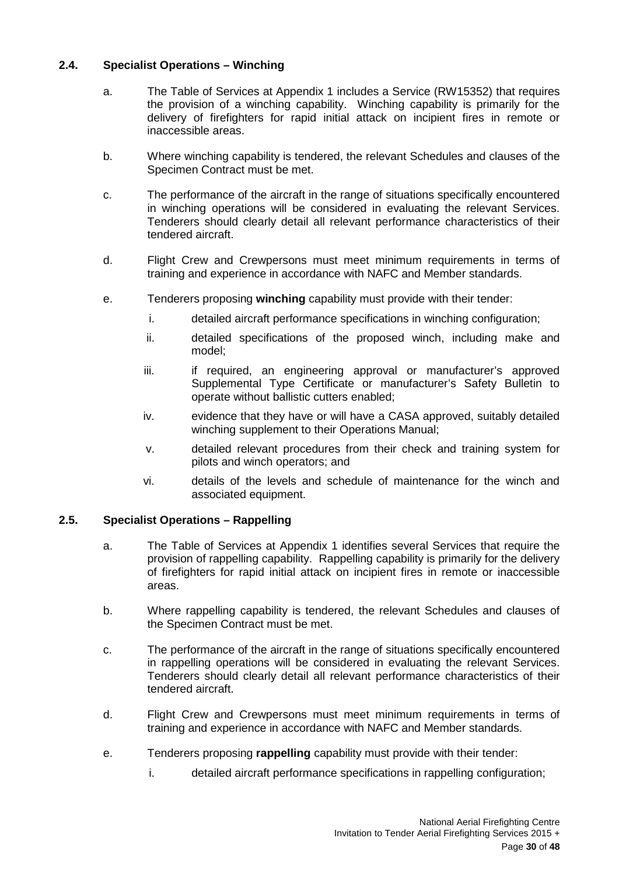# <span id="page-29-0"></span>**2.4. Specialist Operations – Winching**

- a. The Table of Services at Appendix 1 includes a Service (RW15352) that requires the provision of a winching capability. Winching capability is primarily for the delivery of firefighters for rapid initial attack on incipient fires in remote or inaccessible areas.
- b. Where winching capability is tendered, the relevant Schedules and clauses of the Specimen Contract must be met.
- c. The performance of the aircraft in the range of situations specifically encountered in winching operations will be considered in evaluating the relevant Services. Tenderers should clearly detail all relevant performance characteristics of their tendered aircraft.
- d. Flight Crew and Crewpersons must meet minimum requirements in terms of training and experience in accordance with NAFC and Member standards.
- e. Tenderers proposing **winching** capability must provide with their tender:
	- i. detailed aircraft performance specifications in winching configuration;
	- ii. detailed specifications of the proposed winch, including make and model;
	- iii. if required, an engineering approval or manufacturer's approved Supplemental Type Certificate or manufacturer's Safety Bulletin to operate without ballistic cutters enabled;
	- iv. evidence that they have or will have a CASA approved, suitably detailed winching supplement to their Operations Manual;
	- v. detailed relevant procedures from their check and training system for pilots and winch operators; and
	- vi. details of the levels and schedule of maintenance for the winch and associated equipment.

# <span id="page-29-1"></span>**2.5. Specialist Operations – Rappelling**

- a. The Table of Services at Appendix 1 identifies several Services that require the provision of rappelling capability. Rappelling capability is primarily for the delivery of firefighters for rapid initial attack on incipient fires in remote or inaccessible areas.
- b. Where rappelling capability is tendered, the relevant Schedules and clauses of the Specimen Contract must be met.
- c. The performance of the aircraft in the range of situations specifically encountered in rappelling operations will be considered in evaluating the relevant Services. Tenderers should clearly detail all relevant performance characteristics of their tendered aircraft.
- d. Flight Crew and Crewpersons must meet minimum requirements in terms of training and experience in accordance with NAFC and Member standards.
- e. Tenderers proposing **rappelling** capability must provide with their tender:
	- i. detailed aircraft performance specifications in rappelling configuration;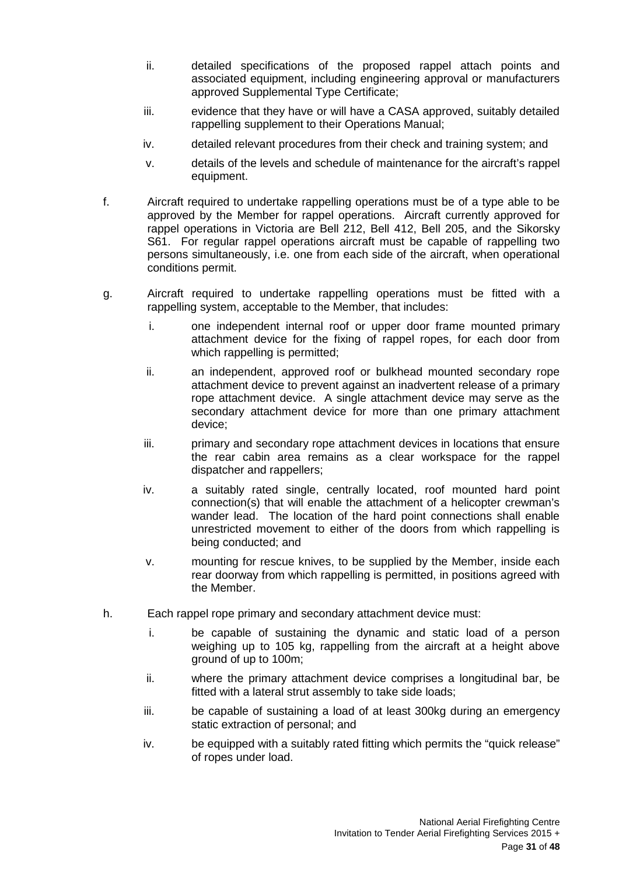- ii. detailed specifications of the proposed rappel attach points and associated equipment, including engineering approval or manufacturers approved Supplemental Type Certificate;
- iii. evidence that they have or will have a CASA approved, suitably detailed rappelling supplement to their Operations Manual;
- iv. detailed relevant procedures from their check and training system; and
- v. details of the levels and schedule of maintenance for the aircraft's rappel equipment.
- f. Aircraft required to undertake rappelling operations must be of a type able to be approved by the Member for rappel operations. Aircraft currently approved for rappel operations in Victoria are Bell 212, Bell 412, Bell 205, and the Sikorsky S61. For regular rappel operations aircraft must be capable of rappelling two persons simultaneously, i.e. one from each side of the aircraft, when operational conditions permit.
- g. Aircraft required to undertake rappelling operations must be fitted with a rappelling system, acceptable to the Member, that includes:
	- i. one independent internal roof or upper door frame mounted primary attachment device for the fixing of rappel ropes, for each door from which rappelling is permitted;
	- ii. an independent, approved roof or bulkhead mounted secondary rope attachment device to prevent against an inadvertent release of a primary rope attachment device. A single attachment device may serve as the secondary attachment device for more than one primary attachment device;
	- iii. primary and secondary rope attachment devices in locations that ensure the rear cabin area remains as a clear workspace for the rappel dispatcher and rappellers;
	- iv. a suitably rated single, centrally located, roof mounted hard point connection(s) that will enable the attachment of a helicopter crewman's wander lead. The location of the hard point connections shall enable unrestricted movement to either of the doors from which rappelling is being conducted; and
	- v. mounting for rescue knives, to be supplied by the Member, inside each rear doorway from which rappelling is permitted, in positions agreed with the Member.
- h. Each rappel rope primary and secondary attachment device must:
	- i. be capable of sustaining the dynamic and static load of a person weighing up to 105 kg, rappelling from the aircraft at a height above ground of up to 100m;
	- ii. where the primary attachment device comprises a longitudinal bar, be fitted with a lateral strut assembly to take side loads;
	- iii. be capable of sustaining a load of at least 300kg during an emergency static extraction of personal; and
	- iv. be equipped with a suitably rated fitting which permits the "quick release" of ropes under load.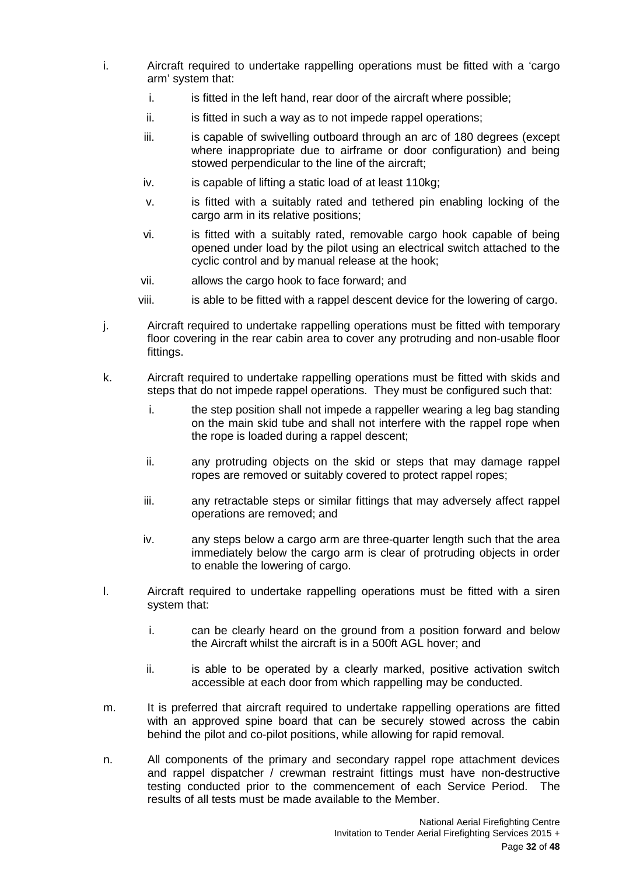- i. Aircraft required to undertake rappelling operations must be fitted with a 'cargo arm' system that:
	- i. is fitted in the left hand, rear door of the aircraft where possible;
	- ii. is fitted in such a way as to not impede rappel operations;
	- iii. iii. is capable of swivelling outboard through an arc of 180 degrees (except where inappropriate due to airframe or door configuration) and being stowed perpendicular to the line of the aircraft;
	- iv. is capable of lifting a static load of at least 110kg;
	- v. is fitted with a suitably rated and tethered pin enabling locking of the cargo arm in its relative positions;
	- vi. is fitted with a suitably rated, removable cargo hook capable of being opened under load by the pilot using an electrical switch attached to the cyclic control and by manual release at the hook;
	- vii. allows the cargo hook to face forward; and
	- viii. is able to be fitted with a rappel descent device for the lowering of cargo.
- j. Aircraft required to undertake rappelling operations must be fitted with temporary floor covering in the rear cabin area to cover any protruding and non-usable floor fittings.
- k. Aircraft required to undertake rappelling operations must be fitted with skids and steps that do not impede rappel operations. They must be configured such that:
	- i. the step position shall not impede a rappeller wearing a leg bag standing on the main skid tube and shall not interfere with the rappel rope when the rope is loaded during a rappel descent;
	- ii. any protruding objects on the skid or steps that may damage rappel ropes are removed or suitably covered to protect rappel ropes;
	- iii. any retractable steps or similar fittings that may adversely affect rappel operations are removed; and
	- iv. any steps below a cargo arm are three-quarter length such that the area immediately below the cargo arm is clear of protruding objects in order to enable the lowering of cargo.
- l. Aircraft required to undertake rappelling operations must be fitted with a siren system that:
	- i. can be clearly heard on the ground from a position forward and below the Aircraft whilst the aircraft is in a 500ft AGL hover; and
	- ii. is able to be operated by a clearly marked, positive activation switch accessible at each door from which rappelling may be conducted.
- m. It is preferred that aircraft required to undertake rappelling operations are fitted with an approved spine board that can be securely stowed across the cabin behind the pilot and co-pilot positions, while allowing for rapid removal.
- n. All components of the primary and secondary rappel rope attachment devices and rappel dispatcher / crewman restraint fittings must have non-destructive testing conducted prior to the commencement of each Service Period. The results of all tests must be made available to the Member.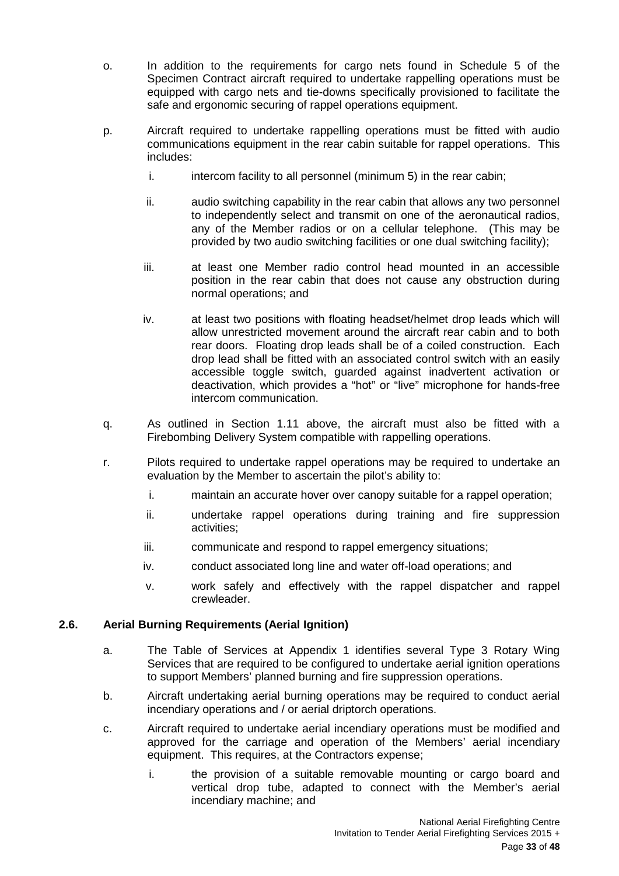- o. In addition to the requirements for cargo nets found in Schedule 5 of the Specimen Contract aircraft required to undertake rappelling operations must be equipped with cargo nets and tie-downs specifically provisioned to facilitate the safe and ergonomic securing of rappel operations equipment.
- p. Aircraft required to undertake rappelling operations must be fitted with audio communications equipment in the rear cabin suitable for rappel operations. This includes:
	- i. intercom facility to all personnel (minimum 5) in the rear cabin;
	- ii. audio switching capability in the rear cabin that allows any two personnel to independently select and transmit on one of the aeronautical radios, any of the Member radios or on a cellular telephone. (This may be provided by two audio switching facilities or one dual switching facility);
	- iii. at least one Member radio control head mounted in an accessible position in the rear cabin that does not cause any obstruction during normal operations; and
	- iv. at least two positions with floating headset/helmet drop leads which will allow unrestricted movement around the aircraft rear cabin and to both rear doors. Floating drop leads shall be of a coiled construction. Each drop lead shall be fitted with an associated control switch with an easily accessible toggle switch, guarded against inadvertent activation or deactivation, which provides a "hot" or "live" microphone for hands-free intercom communication.
- q. As outlined in Section 1.11 above, the aircraft must also be fitted with a Firebombing Delivery System compatible with rappelling operations.
- r. Pilots required to undertake rappel operations may be required to undertake an evaluation by the Member to ascertain the pilot's ability to:
	- i. maintain an accurate hover over canopy suitable for a rappel operation;
	- ii. undertake rappel operations during training and fire suppression activities;
	- iii. communicate and respond to rappel emergency situations:
	- iv. conduct associated long line and water off-load operations; and
	- v. work safely and effectively with the rappel dispatcher and rappel crewleader.

# <span id="page-32-0"></span>**2.6. Aerial Burning Requirements (Aerial Ignition)**

- a. The Table of Services at Appendix 1 identifies several Type 3 Rotary Wing Services that are required to be configured to undertake aerial ignition operations to support Members' planned burning and fire suppression operations.
- b. Aircraft undertaking aerial burning operations may be required to conduct aerial incendiary operations and / or aerial driptorch operations.
- c. Aircraft required to undertake aerial incendiary operations must be modified and approved for the carriage and operation of the Members' aerial incendiary equipment. This requires, at the Contractors expense;
	- i. the provision of a suitable removable mounting or cargo board and vertical drop tube, adapted to connect with the Member's aerial incendiary machine; and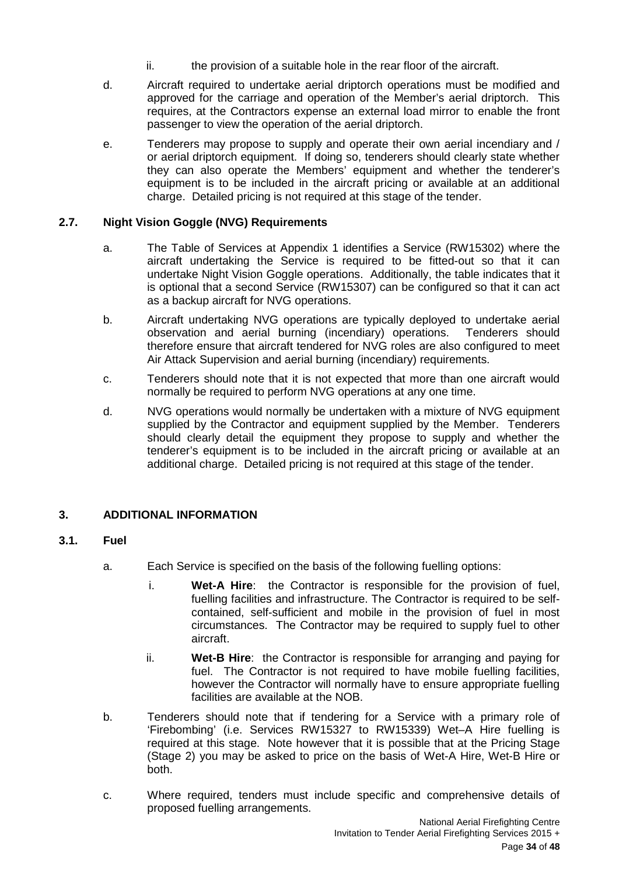- ii. the provision of a suitable hole in the rear floor of the aircraft.
- d. Aircraft required to undertake aerial driptorch operations must be modified and approved for the carriage and operation of the Member's aerial driptorch. This requires, at the Contractors expense an external load mirror to enable the front passenger to view the operation of the aerial driptorch.
- e. Tenderers may propose to supply and operate their own aerial incendiary and / or aerial driptorch equipment. If doing so, tenderers should clearly state whether they can also operate the Members' equipment and whether the tenderer's equipment is to be included in the aircraft pricing or available at an additional charge. Detailed pricing is not required at this stage of the tender.

# <span id="page-33-0"></span>**2.7. Night Vision Goggle (NVG) Requirements**

- a. The Table of Services at Appendix 1 identifies a Service (RW15302) where the aircraft undertaking the Service is required to be fitted-out so that it can undertake Night Vision Goggle operations. Additionally, the table indicates that it is optional that a second Service (RW15307) can be configured so that it can act as a backup aircraft for NVG operations.
- b. Aircraft undertaking NVG operations are typically deployed to undertake aerial observation and aerial burning (incendiary) operations. Tenderers should therefore ensure that aircraft tendered for NVG roles are also configured to meet Air Attack Supervision and aerial burning (incendiary) requirements.
- c. Tenderers should note that it is not expected that more than one aircraft would normally be required to perform NVG operations at any one time.
- d. NVG operations would normally be undertaken with a mixture of NVG equipment supplied by the Contractor and equipment supplied by the Member. Tenderers should clearly detail the equipment they propose to supply and whether the tenderer's equipment is to be included in the aircraft pricing or available at an additional charge. Detailed pricing is not required at this stage of the tender.

# <span id="page-33-1"></span>**3. ADDITIONAL INFORMATION**

# <span id="page-33-2"></span>**3.1. Fuel**

- a. Each Service is specified on the basis of the following fuelling options:
	- i. **Wet-A Hire**: the Contractor is responsible for the provision of fuel, fuelling facilities and infrastructure. The Contractor is required to be selfcontained, self-sufficient and mobile in the provision of fuel in most circumstances. The Contractor may be required to supply fuel to other aircraft.
	- ii. **Wet-B Hire**: the Contractor is responsible for arranging and paying for fuel. The Contractor is not required to have mobile fuelling facilities, however the Contractor will normally have to ensure appropriate fuelling facilities are available at the NOB.
- b. Tenderers should note that if tendering for a Service with a primary role of 'Firebombing' (i.e. Services RW15327 to RW15339) Wet–A Hire fuelling is required at this stage. Note however that it is possible that at the Pricing Stage (Stage 2) you may be asked to price on the basis of Wet-A Hire, Wet-B Hire or both.
- c. Where required, tenders must include specific and comprehensive details of proposed fuelling arrangements.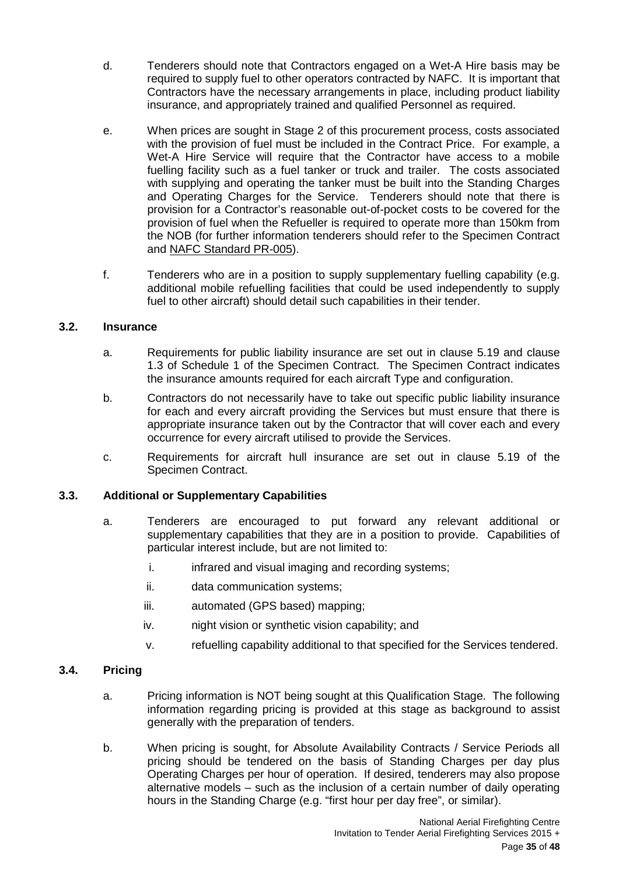- d. Tenderers should note that Contractors engaged on a Wet-A Hire basis may be required to supply fuel to other operators contracted by NAFC. It is important that Contractors have the necessary arrangements in place, including product liability insurance, and appropriately trained and qualified Personnel as required.
- e. When prices are sought in Stage 2 of this procurement process, costs associated with the provision of fuel must be included in the Contract Price. For example, a Wet-A Hire Service will require that the Contractor have access to a mobile fuelling facility such as a fuel tanker or truck and trailer. The costs associated with supplying and operating the tanker must be built into the Standing Charges and Operating Charges for the Service. Tenderers should note that there is provision for a Contractor's reasonable out-of-pocket costs to be covered for the provision of fuel when the Refueller is required to operate more than 150km from the NOB (for further information tenderers should refer to the Specimen Contract and NAFC Standard PR-005).
- f. Tenderers who are in a position to supply supplementary fuelling capability (e.g. additional mobile refuelling facilities that could be used independently to supply fuel to other aircraft) should detail such capabilities in their tender.

# <span id="page-34-0"></span>**3.2. Insurance**

- a. Requirements for public liability insurance are set out in clause 5.19 and clause 1.3 of Schedule 1 of the Specimen Contract. The Specimen Contract indicates the insurance amounts required for each aircraft Type and configuration.
- b. Contractors do not necessarily have to take out specific public liability insurance for each and every aircraft providing the Services but must ensure that there is appropriate insurance taken out by the Contractor that will cover each and every occurrence for every aircraft utilised to provide the Services.
- c. Requirements for aircraft hull insurance are set out in clause 5.19 of the Specimen Contract.

# <span id="page-34-1"></span>**3.3. Additional or Supplementary Capabilities**

- a. Tenderers are encouraged to put forward any relevant additional or supplementary capabilities that they are in a position to provide. Capabilities of particular interest include, but are not limited to:
	- i. infrared and visual imaging and recording systems;
	- ii. data communication systems;
	- iii. automated (GPS based) mapping;
	- iv. night vision or synthetic vision capability; and
	- v. refuelling capability additional to that specified for the Services tendered.

# <span id="page-34-2"></span>**3.4. Pricing**

- a. Pricing information is NOT being sought at this Qualification Stage. The following information regarding pricing is provided at this stage as background to assist generally with the preparation of tenders.
- b. When pricing is sought, for Absolute Availability Contracts / Service Periods all pricing should be tendered on the basis of Standing Charges per day plus Operating Charges per hour of operation. If desired, tenderers may also propose alternative models – such as the inclusion of a certain number of daily operating hours in the Standing Charge (e.g. "first hour per day free", or similar).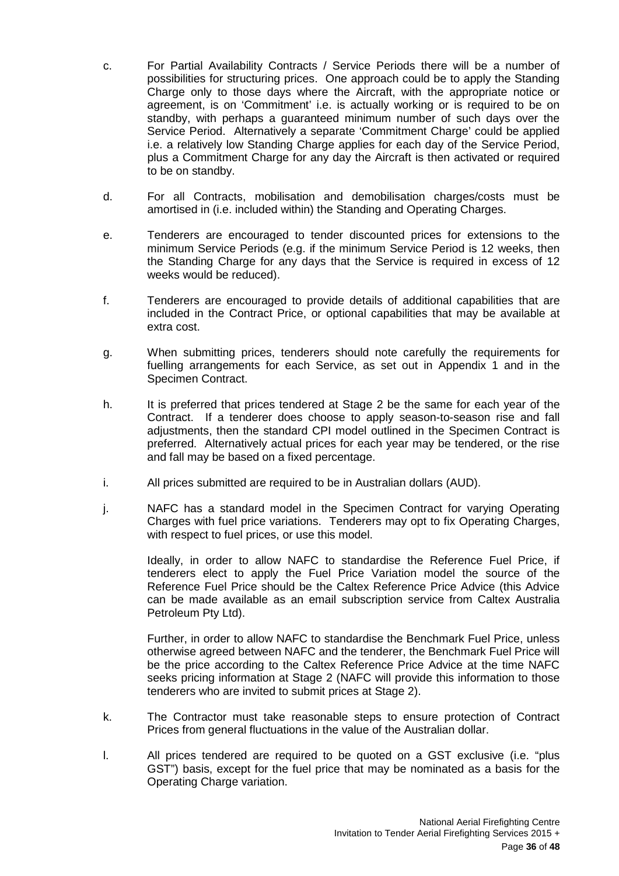- c. For Partial Availability Contracts / Service Periods there will be a number of possibilities for structuring prices. One approach could be to apply the Standing Charge only to those days where the Aircraft, with the appropriate notice or agreement, is on 'Commitment' i.e. is actually working or is required to be on standby, with perhaps a guaranteed minimum number of such days over the Service Period. Alternatively a separate 'Commitment Charge' could be applied i.e. a relatively low Standing Charge applies for each day of the Service Period, plus a Commitment Charge for any day the Aircraft is then activated or required to be on standby.
- d. For all Contracts, mobilisation and demobilisation charges/costs must be amortised in (i.e. included within) the Standing and Operating Charges.
- e. Tenderers are encouraged to tender discounted prices for extensions to the minimum Service Periods (e.g. if the minimum Service Period is 12 weeks, then the Standing Charge for any days that the Service is required in excess of 12 weeks would be reduced).
- f. Tenderers are encouraged to provide details of additional capabilities that are included in the Contract Price, or optional capabilities that may be available at extra cost.
- g. When submitting prices, tenderers should note carefully the requirements for fuelling arrangements for each Service, as set out in Appendix 1 and in the Specimen Contract.
- h. It is preferred that prices tendered at Stage 2 be the same for each year of the Contract. If a tenderer does choose to apply season-to-season rise and fall adjustments, then the standard CPI model outlined in the Specimen Contract is preferred. Alternatively actual prices for each year may be tendered, or the rise and fall may be based on a fixed percentage.
- i. All prices submitted are required to be in Australian dollars (AUD).
- j. NAFC has a standard model in the Specimen Contract for varying Operating Charges with fuel price variations. Tenderers may opt to fix Operating Charges, with respect to fuel prices, or use this model.

Ideally, in order to allow NAFC to standardise the Reference Fuel Price, if tenderers elect to apply the Fuel Price Variation model the source of the Reference Fuel Price should be the Caltex Reference Price Advice (this Advice can be made available as an email subscription service from Caltex Australia Petroleum Pty Ltd).

Further, in order to allow NAFC to standardise the Benchmark Fuel Price, unless otherwise agreed between NAFC and the tenderer, the Benchmark Fuel Price will be the price according to the Caltex Reference Price Advice at the time NAFC seeks pricing information at Stage 2 (NAFC will provide this information to those tenderers who are invited to submit prices at Stage 2).

- k. The Contractor must take reasonable steps to ensure protection of Contract Prices from general fluctuations in the value of the Australian dollar.
- l. All prices tendered are required to be quoted on a GST exclusive (i.e. "plus GST") basis, except for the fuel price that may be nominated as a basis for the Operating Charge variation.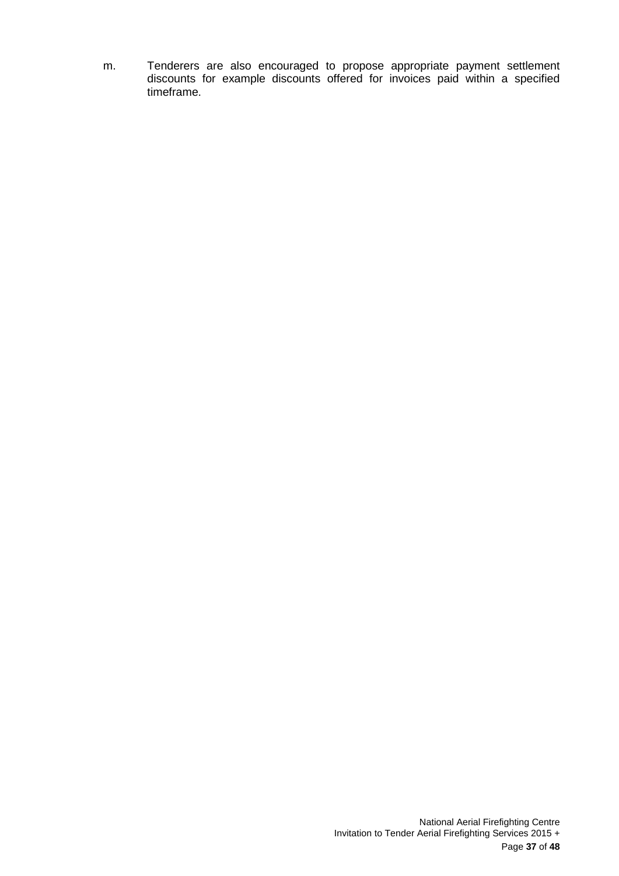m. Tenderers are also encouraged to propose appropriate payment settlement discounts for example discounts offered for invoices paid within a specified timeframe.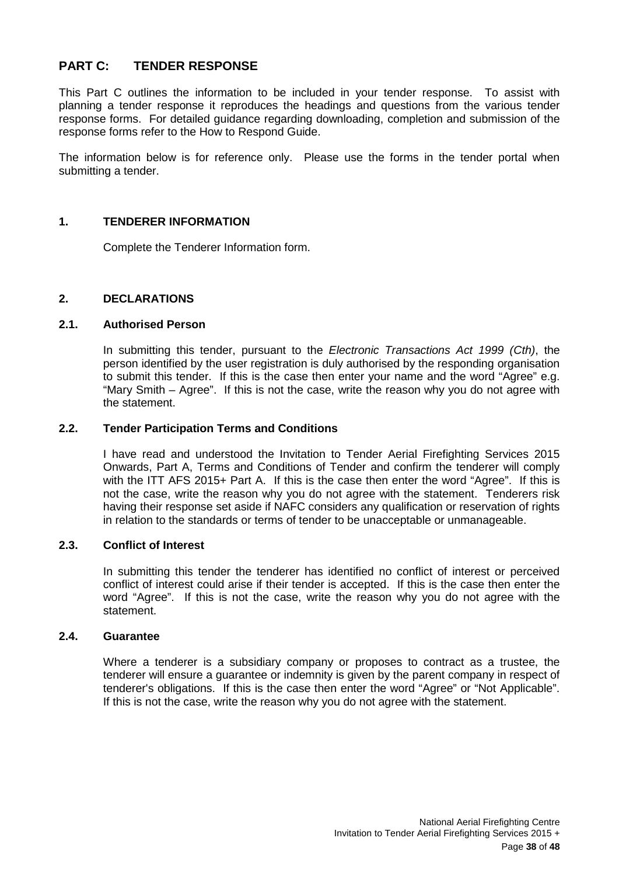# <span id="page-37-0"></span>**PART C: TENDER RESPONSE**

This Part C outlines the information to be included in your tender response. To assist with planning a tender response it reproduces the headings and questions from the various tender response forms. For detailed guidance regarding downloading, completion and submission of the response forms refer to the How to Respond Guide.

The information below is for reference only. Please use the forms in the tender portal when submitting a tender.

# <span id="page-37-1"></span>**1. TENDERER INFORMATION**

Complete the Tenderer Information form.

#### <span id="page-37-2"></span>**2. DECLARATIONS**

## <span id="page-37-3"></span>**2.1. Authorised Person**

In submitting this tender, pursuant to the *Electronic Transactions Act 1999 (Cth)*, the person identified by the user registration is duly authorised by the responding organisation to submit this tender. If this is the case then enter your name and the word "Agree" e.g. "Mary Smith – Agree". If this is not the case, write the reason why you do not agree with the statement.

## <span id="page-37-4"></span>**2.2. Tender Participation Terms and Conditions**

I have read and understood the Invitation to Tender Aerial Firefighting Services 2015 Onwards, Part A, Terms and Conditions of Tender and confirm the tenderer will comply with the ITT AFS 2015+ Part A. If this is the case then enter the word "Agree". If this is not the case, write the reason why you do not agree with the statement. Tenderers risk having their response set aside if NAFC considers any qualification or reservation of rights in relation to the standards or terms of tender to be unacceptable or unmanageable.

#### <span id="page-37-5"></span>**2.3. Conflict of Interest**

In submitting this tender the tenderer has identified no conflict of interest or perceived conflict of interest could arise if their tender is accepted. If this is the case then enter the word "Agree". If this is not the case, write the reason why you do not agree with the statement.

#### <span id="page-37-6"></span>**2.4. Guarantee**

Where a tenderer is a subsidiary company or proposes to contract as a trustee, the tenderer will ensure a guarantee or indemnity is given by the parent company in respect of tenderer's obligations. If this is the case then enter the word "Agree" or "Not Applicable". If this is not the case, write the reason why you do not agree with the statement.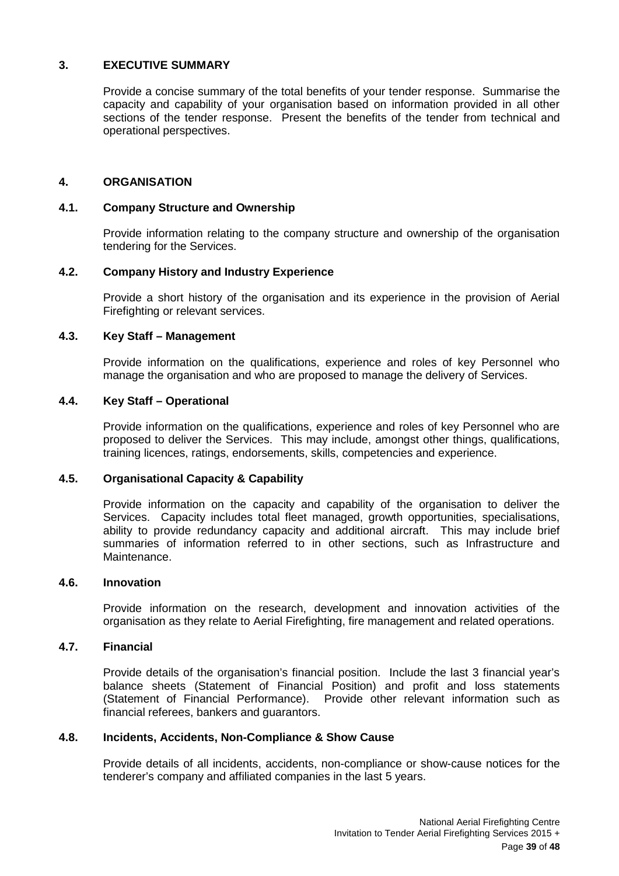# <span id="page-38-0"></span>**3. EXECUTIVE SUMMARY**

Provide a concise summary of the total benefits of your tender response. Summarise the capacity and capability of your organisation based on information provided in all other sections of the tender response. Present the benefits of the tender from technical and operational perspectives.

# <span id="page-38-1"></span>**4. ORGANISATION**

#### <span id="page-38-2"></span>**4.1. Company Structure and Ownership**

Provide information relating to the company structure and ownership of the organisation tendering for the Services.

#### <span id="page-38-3"></span>**4.2. Company History and Industry Experience**

Provide a short history of the organisation and its experience in the provision of Aerial Firefighting or relevant services.

#### <span id="page-38-4"></span>**4.3. Key Staff – Management**

Provide information on the qualifications, experience and roles of key Personnel who manage the organisation and who are proposed to manage the delivery of Services.

#### <span id="page-38-5"></span>**4.4. Key Staff – Operational**

Provide information on the qualifications, experience and roles of key Personnel who are proposed to deliver the Services. This may include, amongst other things, qualifications, training licences, ratings, endorsements, skills, competencies and experience.

#### <span id="page-38-6"></span>**4.5. Organisational Capacity & Capability**

Provide information on the capacity and capability of the organisation to deliver the Services. Capacity includes total fleet managed, growth opportunities, specialisations, ability to provide redundancy capacity and additional aircraft. This may include brief summaries of information referred to in other sections, such as Infrastructure and Maintenance.

#### <span id="page-38-7"></span>**4.6. Innovation**

Provide information on the research, development and innovation activities of the organisation as they relate to Aerial Firefighting, fire management and related operations.

## <span id="page-38-8"></span>**4.7. Financial**

Provide details of the organisation's financial position. Include the last 3 financial year's balance sheets (Statement of Financial Position) and profit and loss statements (Statement of Financial Performance). Provide other relevant information such as financial referees, bankers and guarantors.

#### <span id="page-38-9"></span>**4.8. Incidents, Accidents, Non-Compliance & Show Cause**

Provide details of all incidents, accidents, non-compliance or show-cause notices for the tenderer's company and affiliated companies in the last 5 years.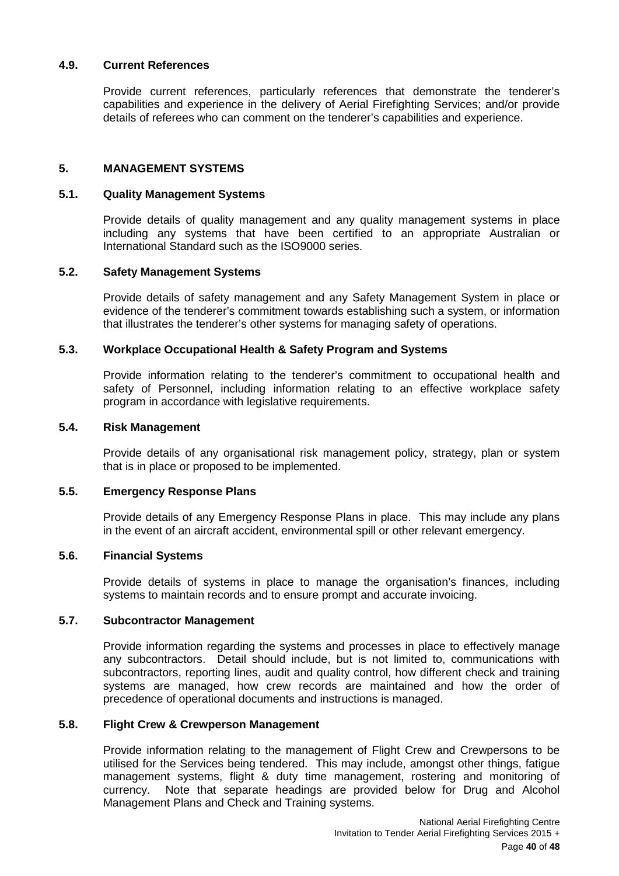# <span id="page-39-0"></span>**4.9. Current References**

Provide current references, particularly references that demonstrate the tenderer's capabilities and experience in the delivery of Aerial Firefighting Services; and/or provide details of referees who can comment on the tenderer's capabilities and experience.

# <span id="page-39-1"></span>**5. MANAGEMENT SYSTEMS**

## <span id="page-39-2"></span>**5.1. Quality Management Systems**

Provide details of quality management and any quality management systems in place including any systems that have been certified to an appropriate Australian or International Standard such as the ISO9000 series.

#### <span id="page-39-3"></span>**5.2. Safety Management Systems**

Provide details of safety management and any Safety Management System in place or evidence of the tenderer's commitment towards establishing such a system, or information that illustrates the tenderer's other systems for managing safety of operations.

## <span id="page-39-4"></span>**5.3. Workplace Occupational Health & Safety Program and Systems**

Provide information relating to the tenderer's commitment to occupational health and safety of Personnel, including information relating to an effective workplace safety program in accordance with legislative requirements.

#### <span id="page-39-5"></span>**5.4. Risk Management**

Provide details of any organisational risk management policy, strategy, plan or system that is in place or proposed to be implemented.

#### <span id="page-39-6"></span>**5.5. Emergency Response Plans**

Provide details of any Emergency Response Plans in place. This may include any plans in the event of an aircraft accident, environmental spill or other relevant emergency.

#### <span id="page-39-7"></span>**5.6. Financial Systems**

Provide details of systems in place to manage the organisation's finances, including systems to maintain records and to ensure prompt and accurate invoicing.

# <span id="page-39-8"></span>**5.7. Subcontractor Management**

Provide information regarding the systems and processes in place to effectively manage any subcontractors. Detail should include, but is not limited to, communications with subcontractors, reporting lines, audit and quality control, how different check and training systems are managed, how crew records are maintained and how the order of precedence of operational documents and instructions is managed.

#### <span id="page-39-9"></span>**5.8. Flight Crew & Crewperson Management**

Provide information relating to the management of Flight Crew and Crewpersons to be utilised for the Services being tendered. This may include, amongst other things, fatigue management systems, flight & duty time management, rostering and monitoring of currency. Note that separate headings are provided below for Drug and Alcohol Management Plans and Check and Training systems.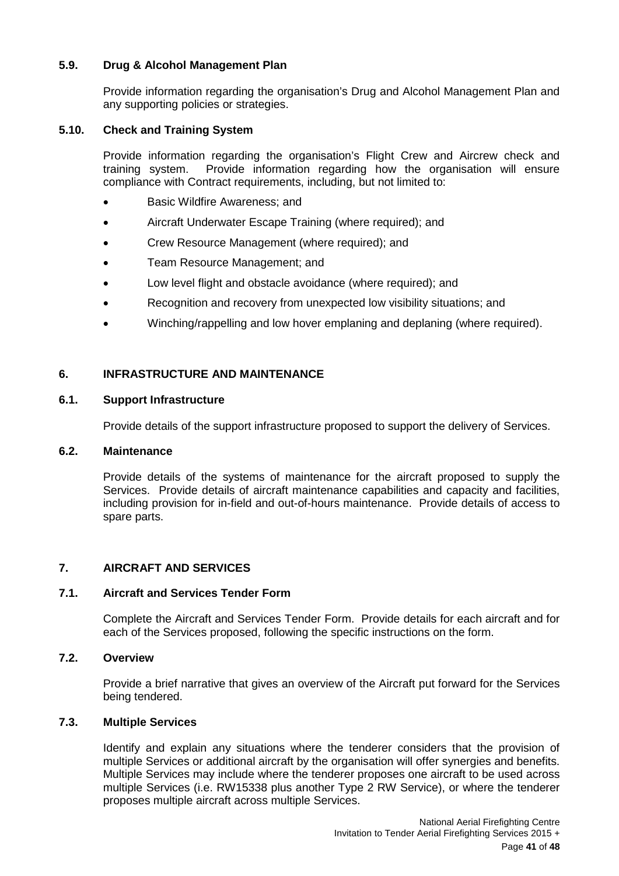# <span id="page-40-0"></span>**5.9. Drug & Alcohol Management Plan**

Provide information regarding the organisation's Drug and Alcohol Management Plan and any supporting policies or strategies.

# <span id="page-40-1"></span>**5.10. Check and Training System**

Provide information regarding the organisation's Flight Crew and Aircrew check and training system. Provide information regarding how the organisation will ensure compliance with Contract requirements, including, but not limited to:

- Basic Wildfire Awareness; and
- Aircraft Underwater Escape Training (where required); and
- Crew Resource Management (where required); and
- Team Resource Management; and
- Low level flight and obstacle avoidance (where required); and
- Recognition and recovery from unexpected low visibility situations; and
- Winching/rappelling and low hover emplaning and deplaning (where required).

# <span id="page-40-2"></span>**6. INFRASTRUCTURE AND MAINTENANCE**

#### <span id="page-40-3"></span>**6.1. Support Infrastructure**

Provide details of the support infrastructure proposed to support the delivery of Services.

#### <span id="page-40-4"></span>**6.2. Maintenance**

Provide details of the systems of maintenance for the aircraft proposed to supply the Services. Provide details of aircraft maintenance capabilities and capacity and facilities, including provision for in-field and out-of-hours maintenance. Provide details of access to spare parts.

# <span id="page-40-5"></span>**7. AIRCRAFT AND SERVICES**

# <span id="page-40-6"></span>**7.1. Aircraft and Services Tender Form**

Complete the Aircraft and Services Tender Form. Provide details for each aircraft and for each of the Services proposed, following the specific instructions on the form.

# <span id="page-40-7"></span>**7.2. Overview**

Provide a brief narrative that gives an overview of the Aircraft put forward for the Services being tendered.

# <span id="page-40-8"></span>**7.3. Multiple Services**

Identify and explain any situations where the tenderer considers that the provision of multiple Services or additional aircraft by the organisation will offer synergies and benefits. Multiple Services may include where the tenderer proposes one aircraft to be used across multiple Services (i.e. RW15338 plus another Type 2 RW Service), or where the tenderer proposes multiple aircraft across multiple Services.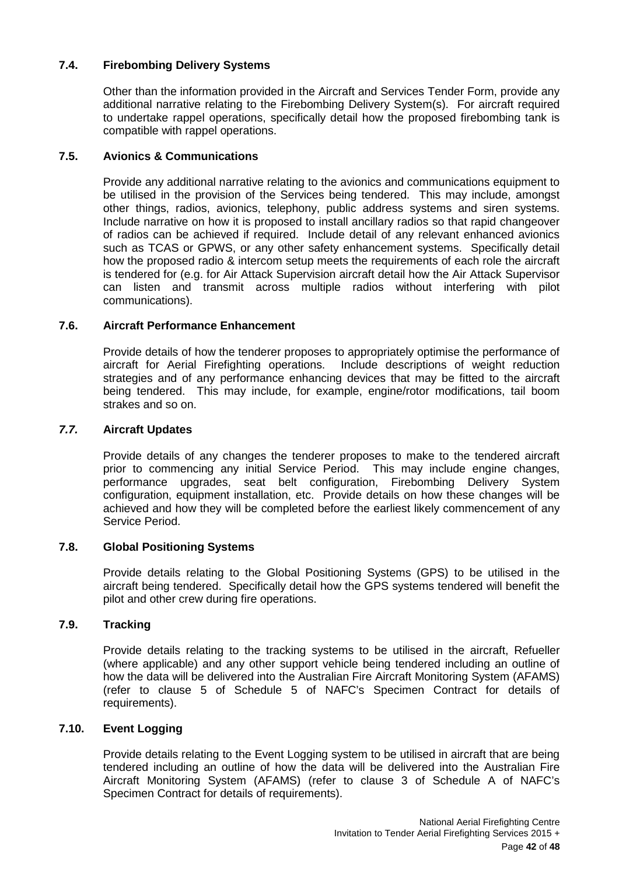# <span id="page-41-0"></span>**7.4. Firebombing Delivery Systems**

Other than the information provided in the Aircraft and Services Tender Form, provide any additional narrative relating to the Firebombing Delivery System(s). For aircraft required to undertake rappel operations, specifically detail how the proposed firebombing tank is compatible with rappel operations.

# <span id="page-41-1"></span>**7.5. Avionics & Communications**

Provide any additional narrative relating to the avionics and communications equipment to be utilised in the provision of the Services being tendered. This may include, amongst other things, radios, avionics, telephony, public address systems and siren systems. Include narrative on how it is proposed to install ancillary radios so that rapid changeover of radios can be achieved if required. Include detail of any relevant enhanced avionics such as TCAS or GPWS, or any other safety enhancement systems. Specifically detail how the proposed radio & intercom setup meets the requirements of each role the aircraft is tendered for (e.g. for Air Attack Supervision aircraft detail how the Air Attack Supervisor can listen and transmit across multiple radios without interfering with pilot communications).

# <span id="page-41-2"></span>**7.6. Aircraft Performance Enhancement**

Provide details of how the tenderer proposes to appropriately optimise the performance of aircraft for Aerial Firefighting operations. Include descriptions of weight reduction strategies and of any performance enhancing devices that may be fitted to the aircraft being tendered. This may include, for example, engine/rotor modifications, tail boom strakes and so on.

# <span id="page-41-3"></span>*7.7.* **Aircraft Updates**

Provide details of any changes the tenderer proposes to make to the tendered aircraft prior to commencing any initial Service Period. This may include engine changes, performance upgrades, seat belt configuration, Firebombing Delivery System configuration, equipment installation, etc. Provide details on how these changes will be achieved and how they will be completed before the earliest likely commencement of any Service Period.

# <span id="page-41-4"></span>**7.8. Global Positioning Systems**

Provide details relating to the Global Positioning Systems (GPS) to be utilised in the aircraft being tendered. Specifically detail how the GPS systems tendered will benefit the pilot and other crew during fire operations.

# <span id="page-41-5"></span>**7.9. Tracking**

Provide details relating to the tracking systems to be utilised in the aircraft, Refueller (where applicable) and any other support vehicle being tendered including an outline of how the data will be delivered into the Australian Fire Aircraft Monitoring System (AFAMS) (refer to clause 5 of Schedule 5 of NAFC's Specimen Contract for details of requirements).

# <span id="page-41-6"></span>**7.10. Event Logging**

Provide details relating to the Event Logging system to be utilised in aircraft that are being tendered including an outline of how the data will be delivered into the Australian Fire Aircraft Monitoring System (AFAMS) (refer to clause 3 of Schedule A of NAFC's Specimen Contract for details of requirements).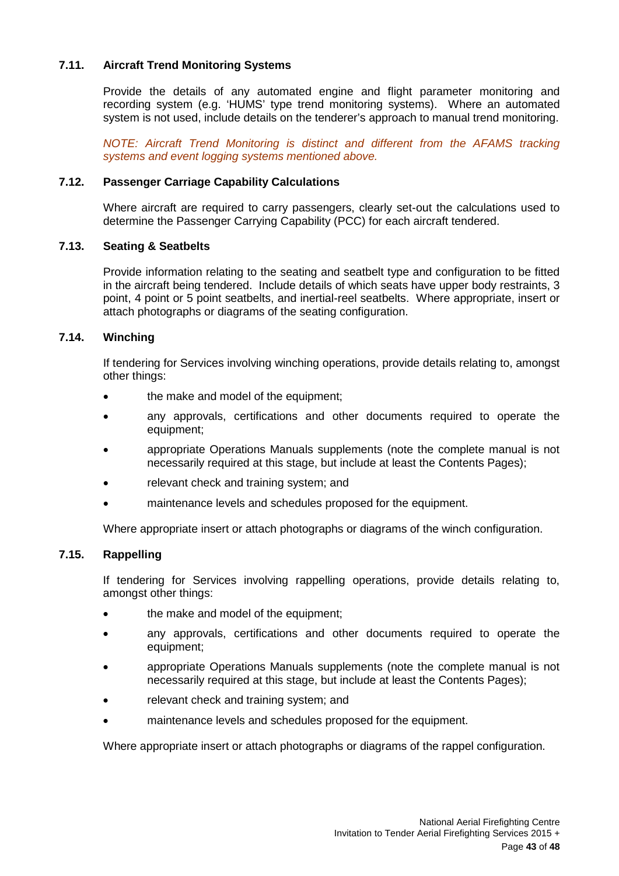# <span id="page-42-0"></span>**7.11. Aircraft Trend Monitoring Systems**

Provide the details of any automated engine and flight parameter monitoring and recording system (e.g. 'HUMS' type trend monitoring systems). Where an automated system is not used, include details on the tenderer's approach to manual trend monitoring.

*NOTE: Aircraft Trend Monitoring is distinct and different from the AFAMS tracking systems and event logging systems mentioned above.*

## <span id="page-42-1"></span>**7.12. Passenger Carriage Capability Calculations**

Where aircraft are required to carry passengers, clearly set-out the calculations used to determine the Passenger Carrying Capability (PCC) for each aircraft tendered.

#### <span id="page-42-2"></span>**7.13. Seating & Seatbelts**

Provide information relating to the seating and seatbelt type and configuration to be fitted in the aircraft being tendered. Include details of which seats have upper body restraints, 3 point, 4 point or 5 point seatbelts, and inertial-reel seatbelts. Where appropriate, insert or attach photographs or diagrams of the seating configuration.

# <span id="page-42-3"></span>**7.14. Winching**

If tendering for Services involving winching operations, provide details relating to, amongst other things:

- the make and model of the equipment;
- any approvals, certifications and other documents required to operate the equipment;
- appropriate Operations Manuals supplements (note the complete manual is not necessarily required at this stage, but include at least the Contents Pages);
- relevant check and training system; and
- maintenance levels and schedules proposed for the equipment.

Where appropriate insert or attach photographs or diagrams of the winch configuration.

# <span id="page-42-4"></span>**7.15. Rappelling**

If tendering for Services involving rappelling operations, provide details relating to, amongst other things:

- the make and model of the equipment;
- any approvals, certifications and other documents required to operate the equipment;
- appropriate Operations Manuals supplements (note the complete manual is not necessarily required at this stage, but include at least the Contents Pages);
- relevant check and training system; and
- maintenance levels and schedules proposed for the equipment.

Where appropriate insert or attach photographs or diagrams of the rappel configuration.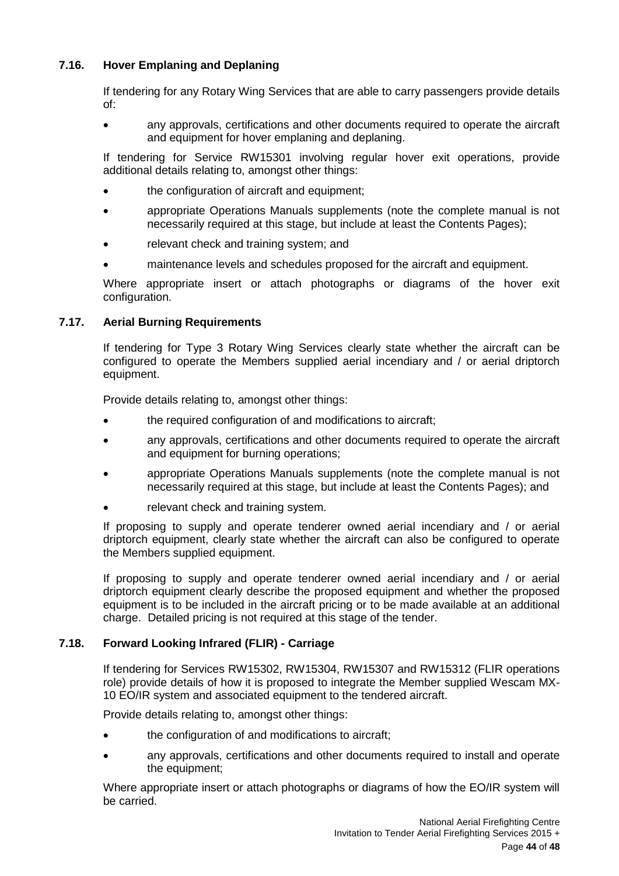# <span id="page-43-0"></span>**7.16. Hover Emplaning and Deplaning**

If tendering for any Rotary Wing Services that are able to carry passengers provide details of:

• any approvals, certifications and other documents required to operate the aircraft and equipment for hover emplaning and deplaning.

If tendering for Service RW15301 involving regular hover exit operations, provide additional details relating to, amongst other things:

- the configuration of aircraft and equipment:
- appropriate Operations Manuals supplements (note the complete manual is not necessarily required at this stage, but include at least the Contents Pages);
- relevant check and training system; and
- maintenance levels and schedules proposed for the aircraft and equipment.

Where appropriate insert or attach photographs or diagrams of the hover exit configuration.

# <span id="page-43-1"></span>**7.17. Aerial Burning Requirements**

If tendering for Type 3 Rotary Wing Services clearly state whether the aircraft can be configured to operate the Members supplied aerial incendiary and / or aerial driptorch equipment.

Provide details relating to, amongst other things:

- the required configuration of and modifications to aircraft;
- any approvals, certifications and other documents required to operate the aircraft and equipment for burning operations;
- appropriate Operations Manuals supplements (note the complete manual is not necessarily required at this stage, but include at least the Contents Pages); and
- relevant check and training system.

If proposing to supply and operate tenderer owned aerial incendiary and / or aerial driptorch equipment, clearly state whether the aircraft can also be configured to operate the Members supplied equipment.

If proposing to supply and operate tenderer owned aerial incendiary and / or aerial driptorch equipment clearly describe the proposed equipment and whether the proposed equipment is to be included in the aircraft pricing or to be made available at an additional charge. Detailed pricing is not required at this stage of the tender.

# <span id="page-43-2"></span>**7.18. Forward Looking Infrared (FLIR) - Carriage**

If tendering for Services RW15302, RW15304, RW15307 and RW15312 (FLIR operations role) provide details of how it is proposed to integrate the Member supplied Wescam MX-10 EO/IR system and associated equipment to the tendered aircraft.

Provide details relating to, amongst other things:

- the configuration of and modifications to aircraft:
- any approvals, certifications and other documents required to install and operate the equipment;

Where appropriate insert or attach photographs or diagrams of how the EO/IR system will be carried.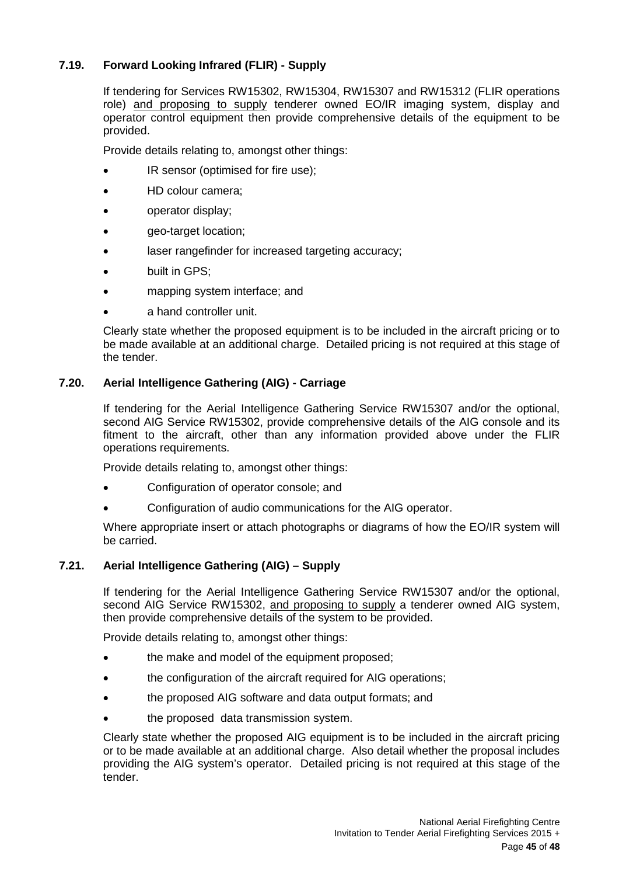# <span id="page-44-0"></span>**7.19. Forward Looking Infrared (FLIR) - Supply**

If tendering for Services RW15302, RW15304, RW15307 and RW15312 (FLIR operations role) and proposing to supply tenderer owned EO/IR imaging system, display and operator control equipment then provide comprehensive details of the equipment to be provided.

Provide details relating to, amongst other things:

- IR sensor (optimised for fire use):
- HD colour camera;
- operator display;
- geo-target location;
- laser rangefinder for increased targeting accuracy;
- built in GPS:
- mapping system interface; and
- a hand controller unit.

Clearly state whether the proposed equipment is to be included in the aircraft pricing or to be made available at an additional charge. Detailed pricing is not required at this stage of the tender.

# <span id="page-44-1"></span>**7.20. Aerial Intelligence Gathering (AIG) - Carriage**

If tendering for the Aerial Intelligence Gathering Service RW15307 and/or the optional, second AIG Service RW15302, provide comprehensive details of the AIG console and its fitment to the aircraft, other than any information provided above under the FLIR operations requirements.

Provide details relating to, amongst other things:

- Configuration of operator console; and
- Configuration of audio communications for the AIG operator.

Where appropriate insert or attach photographs or diagrams of how the EO/IR system will be carried.

# <span id="page-44-2"></span>**7.21. Aerial Intelligence Gathering (AIG) – Supply**

If tendering for the Aerial Intelligence Gathering Service RW15307 and/or the optional, second AIG Service RW15302, and proposing to supply a tenderer owned AIG system, then provide comprehensive details of the system to be provided.

Provide details relating to, amongst other things:

- the make and model of the equipment proposed;
- the configuration of the aircraft required for AIG operations;
- the proposed AIG software and data output formats; and
- the proposed data transmission system.

Clearly state whether the proposed AIG equipment is to be included in the aircraft pricing or to be made available at an additional charge. Also detail whether the proposal includes providing the AIG system's operator. Detailed pricing is not required at this stage of the tender.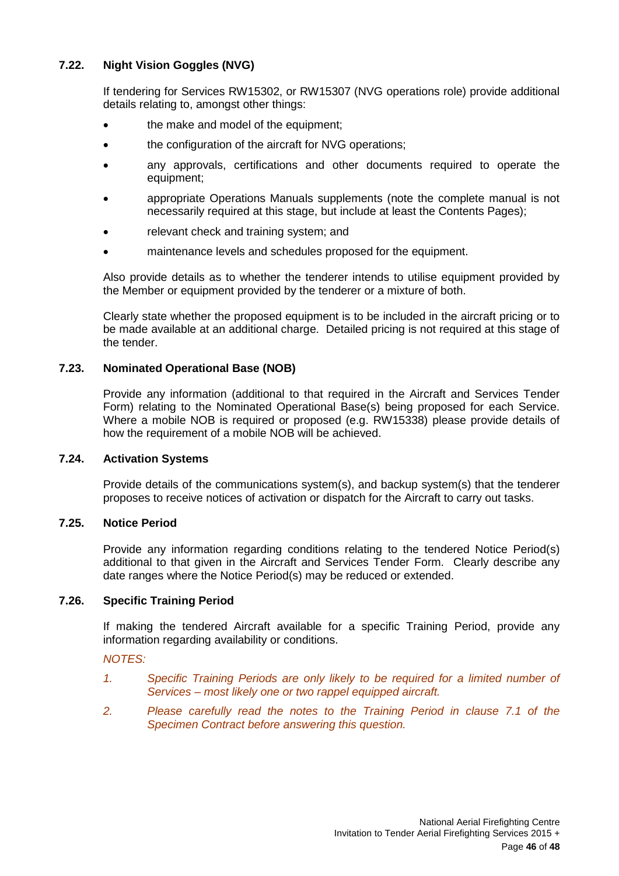# <span id="page-45-0"></span>**7.22. Night Vision Goggles (NVG)**

If tendering for Services RW15302, or RW15307 (NVG operations role) provide additional details relating to, amongst other things:

- the make and model of the equipment;
- the configuration of the aircraft for NVG operations;
- any approvals, certifications and other documents required to operate the equipment;
- appropriate Operations Manuals supplements (note the complete manual is not necessarily required at this stage, but include at least the Contents Pages);
- relevant check and training system; and
- maintenance levels and schedules proposed for the equipment.

Also provide details as to whether the tenderer intends to utilise equipment provided by the Member or equipment provided by the tenderer or a mixture of both.

Clearly state whether the proposed equipment is to be included in the aircraft pricing or to be made available at an additional charge. Detailed pricing is not required at this stage of the tender.

#### <span id="page-45-1"></span>**7.23. Nominated Operational Base (NOB)**

Provide any information (additional to that required in the Aircraft and Services Tender Form) relating to the Nominated Operational Base(s) being proposed for each Service. Where a mobile NOB is required or proposed (e.g. RW15338) please provide details of how the requirement of a mobile NOB will be achieved.

#### <span id="page-45-2"></span>**7.24. Activation Systems**

Provide details of the communications system(s), and backup system(s) that the tenderer proposes to receive notices of activation or dispatch for the Aircraft to carry out tasks.

#### <span id="page-45-3"></span>**7.25. Notice Period**

Provide any information regarding conditions relating to the tendered Notice Period(s) additional to that given in the Aircraft and Services Tender Form. Clearly describe any date ranges where the Notice Period(s) may be reduced or extended.

### <span id="page-45-4"></span>**7.26. Specific Training Period**

If making the tendered Aircraft available for a specific Training Period, provide any information regarding availability or conditions.

# *NOTES:*

- *1. Specific Training Periods are only likely to be required for a limited number of Services – most likely one or two rappel equipped aircraft.*
- *2. Please carefully read the notes to the Training Period in clause 7.1 of the Specimen Contract before answering this question.*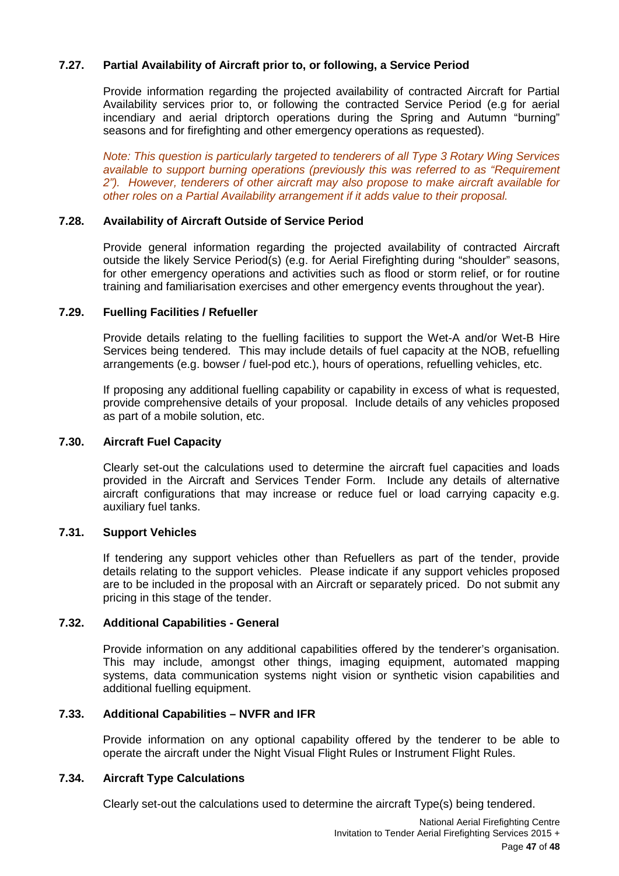# <span id="page-46-0"></span>**7.27. Partial Availability of Aircraft prior to, or following, a Service Period**

Provide information regarding the projected availability of contracted Aircraft for Partial Availability services prior to, or following the contracted Service Period (e.g for aerial incendiary and aerial driptorch operations during the Spring and Autumn "burning" seasons and for firefighting and other emergency operations as requested).

*Note: This question is particularly targeted to tenderers of all Type 3 Rotary Wing Services available to support burning operations (previously this was referred to as "Requirement 2"). However, tenderers of other aircraft may also propose to make aircraft available for other roles on a Partial Availability arrangement if it adds value to their proposal.*

# <span id="page-46-1"></span>**7.28. Availability of Aircraft Outside of Service Period**

Provide general information regarding the projected availability of contracted Aircraft outside the likely Service Period(s) (e.g. for Aerial Firefighting during "shoulder" seasons, for other emergency operations and activities such as flood or storm relief, or for routine training and familiarisation exercises and other emergency events throughout the year).

#### <span id="page-46-2"></span>**7.29. Fuelling Facilities / Refueller**

Provide details relating to the fuelling facilities to support the Wet-A and/or Wet-B Hire Services being tendered. This may include details of fuel capacity at the NOB, refuelling arrangements (e.g. bowser / fuel-pod etc.), hours of operations, refuelling vehicles, etc.

If proposing any additional fuelling capability or capability in excess of what is requested, provide comprehensive details of your proposal. Include details of any vehicles proposed as part of a mobile solution, etc.

## <span id="page-46-3"></span>**7.30. Aircraft Fuel Capacity**

Clearly set-out the calculations used to determine the aircraft fuel capacities and loads provided in the Aircraft and Services Tender Form. Include any details of alternative aircraft configurations that may increase or reduce fuel or load carrying capacity e.g. auxiliary fuel tanks.

# <span id="page-46-4"></span>**7.31. Support Vehicles**

If tendering any support vehicles other than Refuellers as part of the tender, provide details relating to the support vehicles. Please indicate if any support vehicles proposed are to be included in the proposal with an Aircraft or separately priced. Do not submit any pricing in this stage of the tender.

#### <span id="page-46-5"></span>**7.32. Additional Capabilities - General**

Provide information on any additional capabilities offered by the tenderer's organisation. This may include, amongst other things, imaging equipment, automated mapping systems, data communication systems night vision or synthetic vision capabilities and additional fuelling equipment.

#### <span id="page-46-6"></span>**7.33. Additional Capabilities – NVFR and IFR**

Provide information on any optional capability offered by the tenderer to be able to operate the aircraft under the Night Visual Flight Rules or Instrument Flight Rules.

#### <span id="page-46-7"></span>**7.34. Aircraft Type Calculations**

Clearly set-out the calculations used to determine the aircraft Type(s) being tendered.